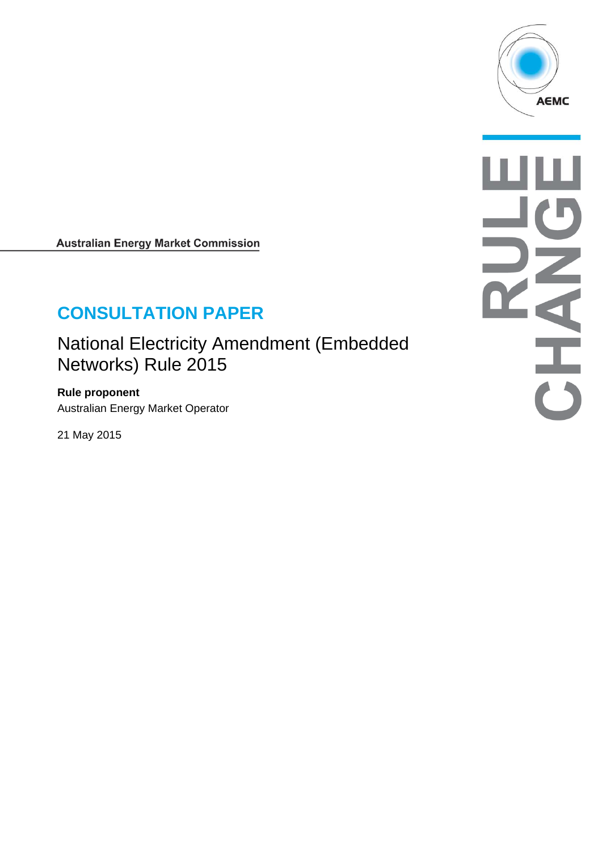

**Australian Energy Market Commission** 

# **CONSULTATION PAPER**

National Electricity Amendment (Embedded Networks) Rule 2015

**Rule proponent**  Australian Energy Market Operator

21 May 2015

NHAI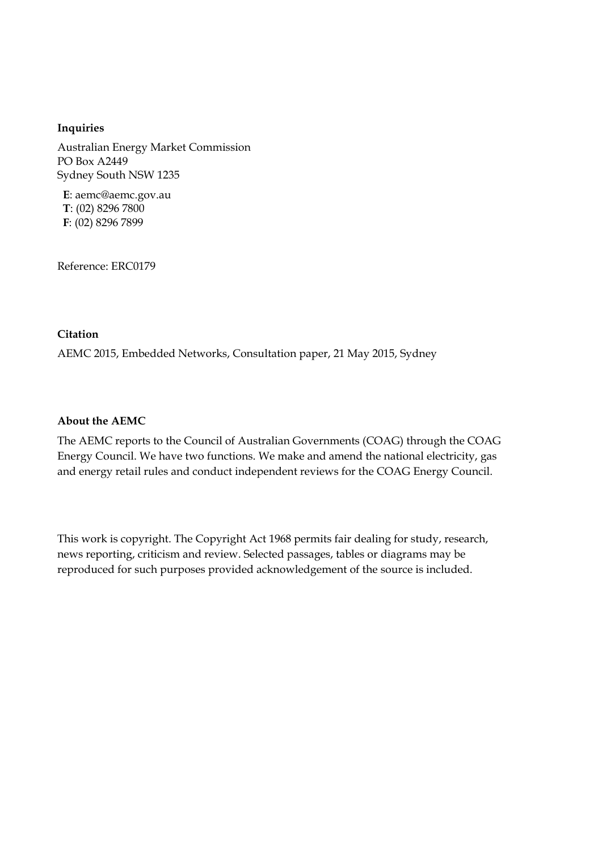#### **Inquiries**

Australian Energy Market Commission PO Box A2449 Sydney South NSW 1235

**E**: aemc@aemc.gov.au **T**: (02) 8296 7800 **F**: (02) 8296 7899

Reference: ERC0179

#### **Citation**

AEMC 2015, Embedded Networks, Consultation paper, 21 May 2015, Sydney

#### **About the AEMC**

The AEMC reports to the Council of Australian Governments (COAG) through the COAG Energy Council. We have two functions. We make and amend the national electricity, gas and energy retail rules and conduct independent reviews for the COAG Energy Council.

This work is copyright. The Copyright Act 1968 permits fair dealing for study, research, news reporting, criticism and review. Selected passages, tables or diagrams may be reproduced for such purposes provided acknowledgement of the source is included.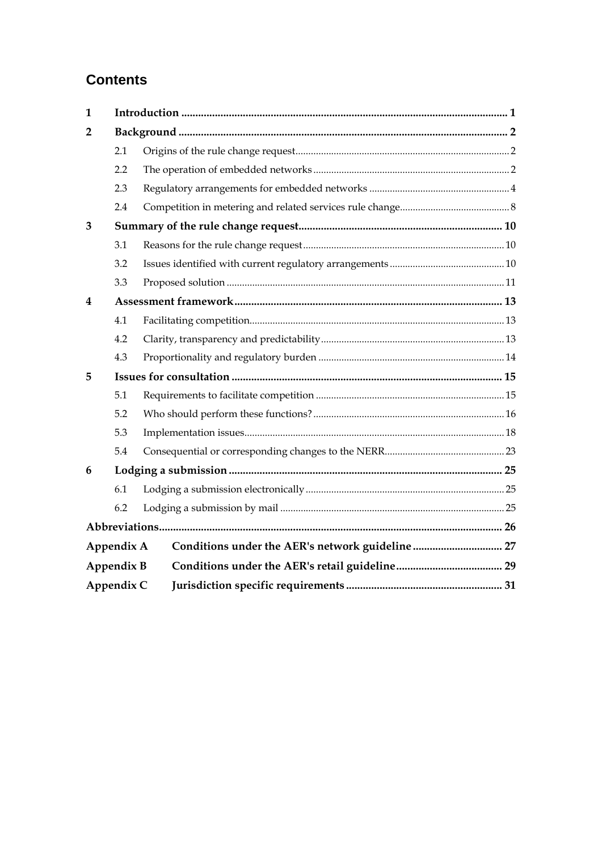# **Contents**

| $\mathbf{1}$ |            |                                                  |  |
|--------------|------------|--------------------------------------------------|--|
| 2            |            |                                                  |  |
|              | 2.1        |                                                  |  |
|              | 2.2        |                                                  |  |
|              | 2.3        |                                                  |  |
|              | 2.4        |                                                  |  |
| 3            |            |                                                  |  |
|              | 3.1        |                                                  |  |
|              | 3.2        |                                                  |  |
|              | 3.3        |                                                  |  |
| 4            |            |                                                  |  |
|              | 4.1        |                                                  |  |
|              | 4.2        |                                                  |  |
|              | 4.3        |                                                  |  |
| 5            |            |                                                  |  |
|              | 5.1        |                                                  |  |
|              | 5.2        |                                                  |  |
|              | 5.3        |                                                  |  |
|              | 5.4        |                                                  |  |
| 6            |            |                                                  |  |
|              | 6.1        |                                                  |  |
|              | 6.2        |                                                  |  |
|              |            |                                                  |  |
|              | Appendix A | Conditions under the AER's network guideline  27 |  |
|              | Appendix B |                                                  |  |
|              | Appendix C |                                                  |  |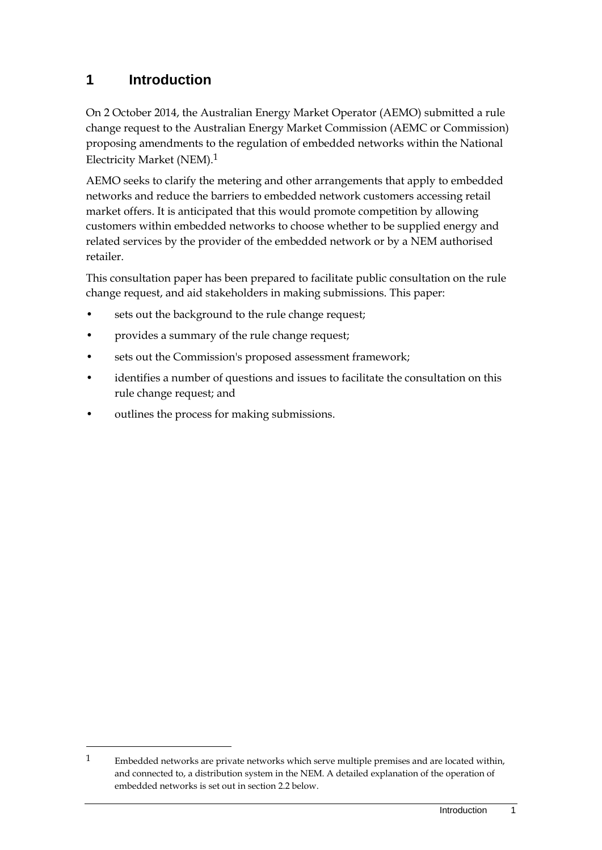# **1 Introduction**

On 2 October 2014, the Australian Energy Market Operator (AEMO) submitted a rule change request to the Australian Energy Market Commission (AEMC or Commission) proposing amendments to the regulation of embedded networks within the National Electricity Market (NEM).1

AEMO seeks to clarify the metering and other arrangements that apply to embedded networks and reduce the barriers to embedded network customers accessing retail market offers. It is anticipated that this would promote competition by allowing customers within embedded networks to choose whether to be supplied energy and related services by the provider of the embedded network or by a NEM authorised retailer.

This consultation paper has been prepared to facilitate public consultation on the rule change request, and aid stakeholders in making submissions. This paper:

- sets out the background to the rule change request;
- provides a summary of the rule change request;
- sets out the Commission's proposed assessment framework;
- identifies a number of questions and issues to facilitate the consultation on this rule change request; and
- outlines the process for making submissions.

<u>.</u>

<sup>1</sup> Embedded networks are private networks which serve multiple premises and are located within, and connected to, a distribution system in the NEM. A detailed explanation of the operation of embedded networks is set out in section 2.2 below.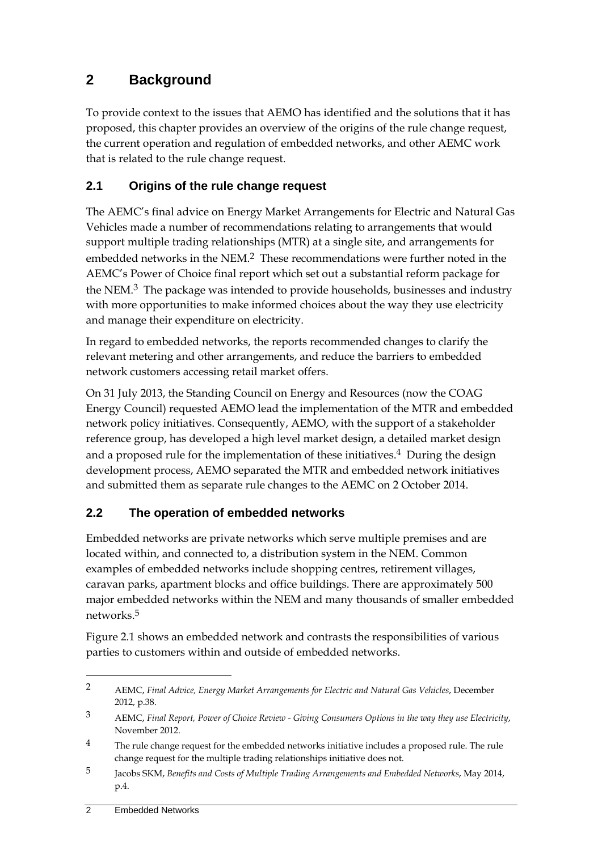# **2 Background**

To provide context to the issues that AEMO has identified and the solutions that it has proposed, this chapter provides an overview of the origins of the rule change request, the current operation and regulation of embedded networks, and other AEMC work that is related to the rule change request.

# **2.1 Origins of the rule change request**

The AEMC's final advice on Energy Market Arrangements for Electric and Natural Gas Vehicles made a number of recommendations relating to arrangements that would support multiple trading relationships (MTR) at a single site, and arrangements for embedded networks in the NEM.<sup>2</sup> These recommendations were further noted in the AEMC's Power of Choice final report which set out a substantial reform package for the NEM.3 The package was intended to provide households, businesses and industry with more opportunities to make informed choices about the way they use electricity and manage their expenditure on electricity.

In regard to embedded networks, the reports recommended changes to clarify the relevant metering and other arrangements, and reduce the barriers to embedded network customers accessing retail market offers.

On 31 July 2013, the Standing Council on Energy and Resources (now the COAG Energy Council) requested AEMO lead the implementation of the MTR and embedded network policy initiatives. Consequently, AEMO, with the support of a stakeholder reference group, has developed a high level market design, a detailed market design and a proposed rule for the implementation of these initiatives.<sup>4</sup> During the design development process, AEMO separated the MTR and embedded network initiatives and submitted them as separate rule changes to the AEMC on 2 October 2014.

### **2.2 The operation of embedded networks**

Embedded networks are private networks which serve multiple premises and are located within, and connected to, a distribution system in the NEM. Common examples of embedded networks include shopping centres, retirement villages, caravan parks, apartment blocks and office buildings. There are approximately 500 major embedded networks within the NEM and many thousands of smaller embedded networks.5

Figure 2.1 shows an embedded network and contrasts the responsibilities of various parties to customers within and outside of embedded networks.

<u>.</u>

<sup>2</sup> AEMC, *Final Advice, Energy Market Arrangements for Electric and Natural Gas Vehicles*, December 2012, p.38.

<sup>3</sup> AEMC, *Final Report, Power of Choice Review - Giving Consumers Options in the way they use Electricity*, November 2012.

<sup>&</sup>lt;sup>4</sup> The rule change request for the embedded networks initiative includes a proposed rule. The rule change request for the multiple trading relationships initiative does not.

<sup>5</sup> Jacobs SKM, *Benefits and Costs of Multiple Trading Arrangements and Embedded Networks*, May 2014, p.4.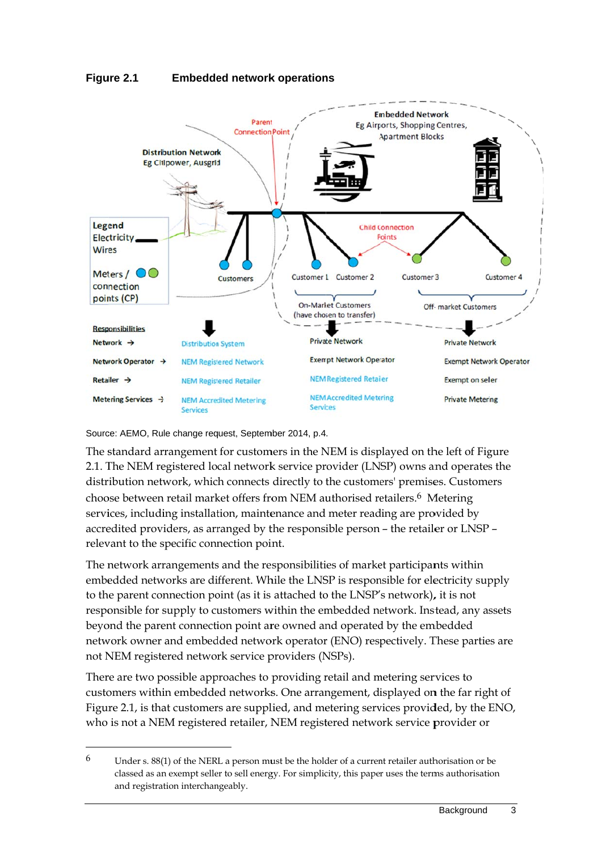



Source: AEMO, Rule change request, September 2014, p.4.

 $\overline{a}$ 

 $\overline{a}$ 

 $\overline{a}$ 

 $\overline{a}$ 

The standard arrangement for customers in the NEM is displayed on the left of Figure 2.1. The NEM registered local network service provider (LNSP) owns and operates the distribution network, which connects directly to the customers' premises. Customers choose between retail market offers from NEM authorised retailers.<sup>6</sup> Metering services, including installation, maintenance and meter reading are provided by accredited providers, as arranged by the responsible person – the retailer or LNSP – relevant to the specific connection point.

The network arrangements and the responsibilities of market participants within embedded networks are different. While the LNSP is responsible for electricity supply to the parent connection point (as it is attached to the LNSP's network), it is not responsible for supply to customers within the embedded network. Instead, any assets beyond the parent connection point are owned and operated by the embedded network owner and embedded network operator (ENO) respectively. These parties are not NEM registered network service providers (NSPs).

There are two possible approaches to providing retail and metering services to customers within embedded networks. One arrangement, displayed on the far right of Figure 2.1, is that customers are supplied, and metering services provided, by the ENO, who is not a NEM registered retailer, NEM registered network service provider or

<sup>6</sup> Under s. 88(1) of the NERL a person must be the holder of a current retailer authorisation or be classed as an exempt seller to sell energy. For simplicity, this paper uses the terms authorisation and registration interchangeably.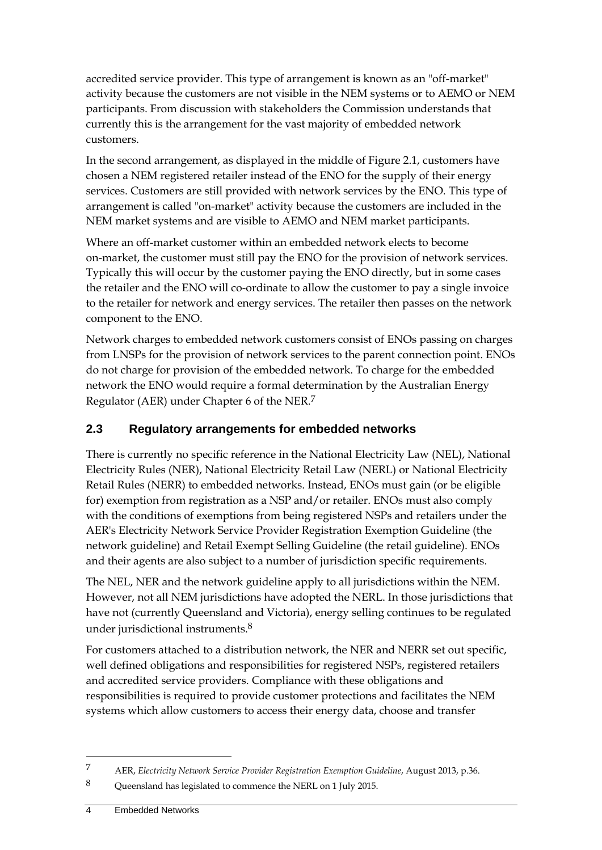accredited service provider. This type of arrangement is known as an "off-market" activity because the customers are not visible in the NEM systems or to AEMO or NEM participants. From discussion with stakeholders the Commission understands that currently this is the arrangement for the vast majority of embedded network customers.

In the second arrangement, as displayed in the middle of Figure 2.1, customers have chosen a NEM registered retailer instead of the ENO for the supply of their energy services. Customers are still provided with network services by the ENO. This type of arrangement is called "on-market" activity because the customers are included in the NEM market systems and are visible to AEMO and NEM market participants.

Where an off-market customer within an embedded network elects to become on-market, the customer must still pay the ENO for the provision of network services. Typically this will occur by the customer paying the ENO directly, but in some cases the retailer and the ENO will co-ordinate to allow the customer to pay a single invoice to the retailer for network and energy services. The retailer then passes on the network component to the ENO.

Network charges to embedded network customers consist of ENOs passing on charges from LNSPs for the provision of network services to the parent connection point. ENOs do not charge for provision of the embedded network. To charge for the embedded network the ENO would require a formal determination by the Australian Energy Regulator (AER) under Chapter 6 of the NER.7

# **2.3 Regulatory arrangements for embedded networks**

There is currently no specific reference in the National Electricity Law (NEL), National Electricity Rules (NER), National Electricity Retail Law (NERL) or National Electricity Retail Rules (NERR) to embedded networks. Instead, ENOs must gain (or be eligible for) exemption from registration as a NSP and/or retailer. ENOs must also comply with the conditions of exemptions from being registered NSPs and retailers under the AER's Electricity Network Service Provider Registration Exemption Guideline (the network guideline) and Retail Exempt Selling Guideline (the retail guideline). ENOs and their agents are also subject to a number of jurisdiction specific requirements.

The NEL, NER and the network guideline apply to all jurisdictions within the NEM. However, not all NEM jurisdictions have adopted the NERL. In those jurisdictions that have not (currently Queensland and Victoria), energy selling continues to be regulated under jurisdictional instruments.8

For customers attached to a distribution network, the NER and NERR set out specific, well defined obligations and responsibilities for registered NSPs, registered retailers and accredited service providers. Compliance with these obligations and responsibilities is required to provide customer protections and facilitates the NEM systems which allow customers to access their energy data, choose and transfer

<sup>7</sup> AER, *Electricity Network Service Provider Registration Exemption Guideline*, August 2013, p.36.

<sup>8</sup> Queensland has legislated to commence the NERL on 1 July 2015.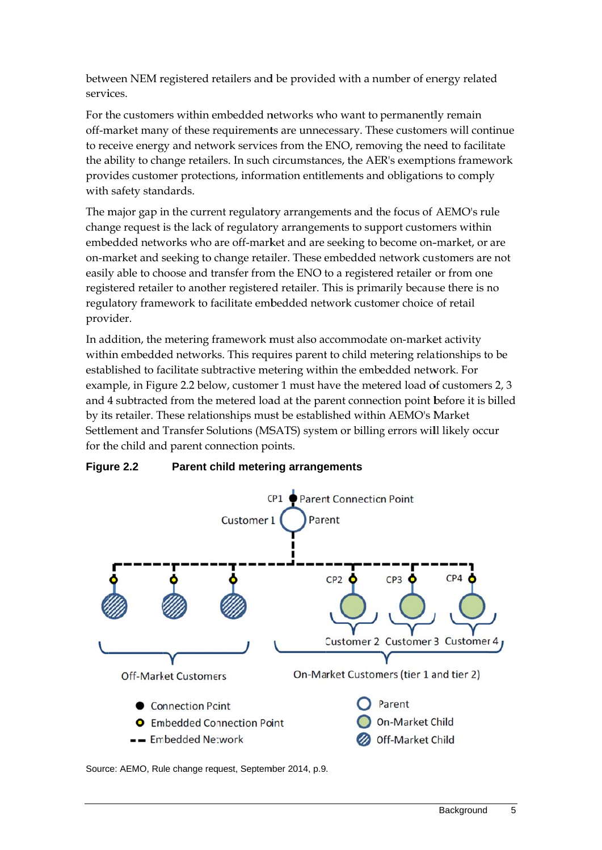between NEM registered retailers and be provided with a number of energy related servi ices.

For the customers within embedded networks who want to permanently remain off-market many of these requirements are unnecessary. These customers will continue to receive energy and network services from the ENO, removing the need to facilitate the ability to change retailers. In such circumstances, the AER's exemptions framework provides customer protections, information entitlements and obligations to comply with safety standards. provides customer protections, information entitlements and obligations to comply<br>with safety standards.<br>The major gap in the current regulatory arrangements and the focus of AEMO's rule

change request is the lack of regulatory arrangements to support customers within change request is the lack of regulatory arrangements to support customers within<br>embedded networks who are off-market and are seeking to become on-market, or are on-market and seeking to change retailer. These embedded network customers are not easily able to choose and transfer from the ENO to a registered retailer or from one easily able to choose and transfer from the ENO to a registered retailer or from one<br>registered retailer to another registered retailer. This is primarily because there is no regulatory framework to facilitate embedded network customer choice of retail provider.

In addition, the metering framework must also accommodate on-market activity within embedded networks. This requires parent to child metering relationships to be established to facilitate subtractive metering within the embedded network. For example, in Figure 2.2 below, customer 1 must have the metered load of customers 2, 3 and 4 subtracted from the metered load at the parent connection point before it is billed by its retailer. These relationships must be established within AEMO's Market Settlement and Transfer Solutions (MSATS) system or billing errors will likely occur for the child and parent connection points.



#### **Figu ure 2.2 Parent child metering arrangements**

Source: AEMO, Rule change request, September 2014, p.9.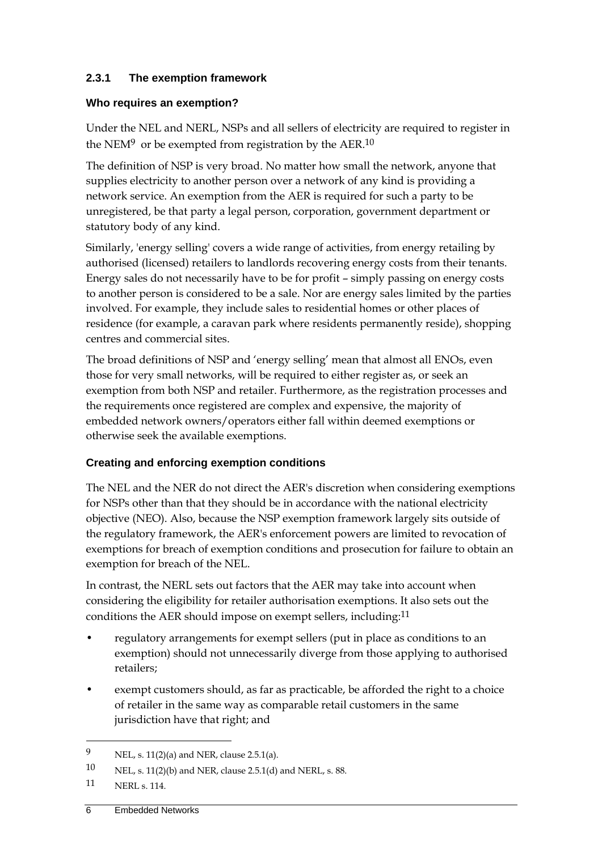#### **2.3.1 The exemption framework**

#### **Who requires an exemption?**

Under the NEL and NERL, NSPs and all sellers of electricity are required to register in the NEM<sup>9</sup> or be exempted from registration by the AER.<sup>10</sup>

The definition of NSP is very broad. No matter how small the network, anyone that supplies electricity to another person over a network of any kind is providing a network service. An exemption from the AER is required for such a party to be unregistered, be that party a legal person, corporation, government department or statutory body of any kind.

Similarly, 'energy selling' covers a wide range of activities, from energy retailing by authorised (licensed) retailers to landlords recovering energy costs from their tenants. Energy sales do not necessarily have to be for profit – simply passing on energy costs to another person is considered to be a sale. Nor are energy sales limited by the parties involved. For example, they include sales to residential homes or other places of residence (for example, a caravan park where residents permanently reside), shopping centres and commercial sites.

The broad definitions of NSP and 'energy selling' mean that almost all ENOs, even those for very small networks, will be required to either register as, or seek an exemption from both NSP and retailer. Furthermore, as the registration processes and the requirements once registered are complex and expensive, the majority of embedded network owners/operators either fall within deemed exemptions or otherwise seek the available exemptions.

#### **Creating and enforcing exemption conditions**

The NEL and the NER do not direct the AER's discretion when considering exemptions for NSPs other than that they should be in accordance with the national electricity objective (NEO). Also, because the NSP exemption framework largely sits outside of the regulatory framework, the AER's enforcement powers are limited to revocation of exemptions for breach of exemption conditions and prosecution for failure to obtain an exemption for breach of the NEL.

In contrast, the NERL sets out factors that the AER may take into account when considering the eligibility for retailer authorisation exemptions. It also sets out the conditions the AER should impose on exempt sellers, including:11

- regulatory arrangements for exempt sellers (put in place as conditions to an exemption) should not unnecessarily diverge from those applying to authorised retailers;
- exempt customers should, as far as practicable, be afforded the right to a choice of retailer in the same way as comparable retail customers in the same jurisdiction have that right; and

<u>.</u>

<sup>9</sup> NEL, s. 11(2)(a) and NER, clause 2.5.1(a).

<sup>10</sup> NEL, s. 11(2)(b) and NER, clause 2.5.1(d) and NERL, s. 88.

<sup>11</sup> NERL s. 114.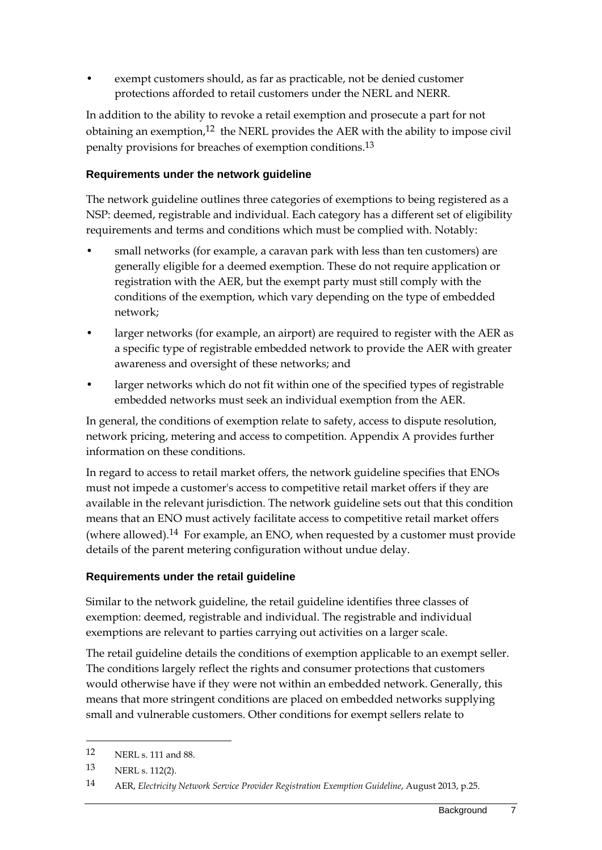exempt customers should, as far as practicable, not be denied customer protections afforded to retail customers under the NERL and NERR.

In addition to the ability to revoke a retail exemption and prosecute a part for not obtaining an exemption,<sup>12</sup> the NERL provides the AER with the ability to impose civil penalty provisions for breaches of exemption conditions.13

#### **Requirements under the network guideline**

The network guideline outlines three categories of exemptions to being registered as a NSP: deemed, registrable and individual. Each category has a different set of eligibility requirements and terms and conditions which must be complied with. Notably:

- small networks (for example, a caravan park with less than ten customers) are generally eligible for a deemed exemption. These do not require application or registration with the AER, but the exempt party must still comply with the conditions of the exemption, which vary depending on the type of embedded network;
- larger networks (for example, an airport) are required to register with the AER as a specific type of registrable embedded network to provide the AER with greater awareness and oversight of these networks; and
- larger networks which do not fit within one of the specified types of registrable embedded networks must seek an individual exemption from the AER.

In general, the conditions of exemption relate to safety, access to dispute resolution, network pricing, metering and access to competition. Appendix A provides further information on these conditions.

In regard to access to retail market offers, the network guideline specifies that ENOs must not impede a customer's access to competitive retail market offers if they are available in the relevant jurisdiction. The network guideline sets out that this condition means that an ENO must actively facilitate access to competitive retail market offers (where allowed).<sup>14</sup> For example, an ENO, when requested by a customer must provide details of the parent metering configuration without undue delay.

#### **Requirements under the retail guideline**

Similar to the network guideline, the retail guideline identifies three classes of exemption: deemed, registrable and individual. The registrable and individual exemptions are relevant to parties carrying out activities on a larger scale.

The retail guideline details the conditions of exemption applicable to an exempt seller. The conditions largely reflect the rights and consumer protections that customers would otherwise have if they were not within an embedded network. Generally, this means that more stringent conditions are placed on embedded networks supplying small and vulnerable customers. Other conditions for exempt sellers relate to

<u>.</u>

<sup>12</sup> NERL s. 111 and 88.

<sup>13</sup> NERL s. 112(2).

<sup>14</sup> AER, *Electricity Network Service Provider Registration Exemption Guideline*, August 2013, p.25.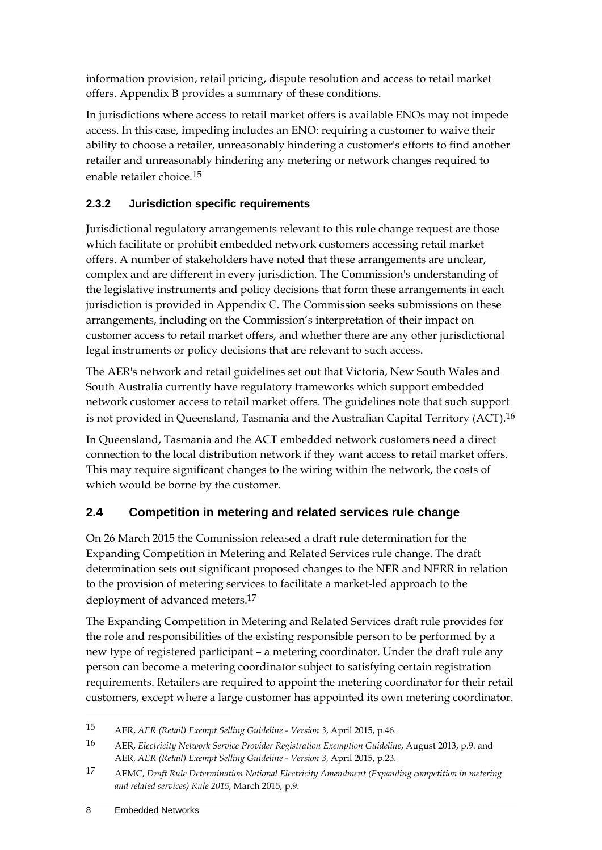information provision, retail pricing, dispute resolution and access to retail market offers. Appendix B provides a summary of these conditions.

In jurisdictions where access to retail market offers is available ENOs may not impede access. In this case, impeding includes an ENO: requiring a customer to waive their ability to choose a retailer, unreasonably hindering a customer's efforts to find another retailer and unreasonably hindering any metering or network changes required to enable retailer choice.15

### **2.3.2 Jurisdiction specific requirements**

Jurisdictional regulatory arrangements relevant to this rule change request are those which facilitate or prohibit embedded network customers accessing retail market offers. A number of stakeholders have noted that these arrangements are unclear, complex and are different in every jurisdiction. The Commission's understanding of the legislative instruments and policy decisions that form these arrangements in each jurisdiction is provided in Appendix C. The Commission seeks submissions on these arrangements, including on the Commission's interpretation of their impact on customer access to retail market offers, and whether there are any other jurisdictional legal instruments or policy decisions that are relevant to such access.

The AER's network and retail guidelines set out that Victoria, New South Wales and South Australia currently have regulatory frameworks which support embedded network customer access to retail market offers. The guidelines note that such support is not provided in Queensland, Tasmania and the Australian Capital Territory (ACT).16

In Queensland, Tasmania and the ACT embedded network customers need a direct connection to the local distribution network if they want access to retail market offers. This may require significant changes to the wiring within the network, the costs of which would be borne by the customer.

# **2.4 Competition in metering and related services rule change**

On 26 March 2015 the Commission released a draft rule determination for the Expanding Competition in Metering and Related Services rule change. The draft determination sets out significant proposed changes to the NER and NERR in relation to the provision of metering services to facilitate a market-led approach to the deployment of advanced meters.17

The Expanding Competition in Metering and Related Services draft rule provides for the role and responsibilities of the existing responsible person to be performed by a new type of registered participant – a metering coordinator. Under the draft rule any person can become a metering coordinator subject to satisfying certain registration requirements. Retailers are required to appoint the metering coordinator for their retail customers, except where a large customer has appointed its own metering coordinator.

<sup>15</sup> AER, *AER (Retail) Exempt Selling Guideline - Version 3*, April 2015, p.46.

<sup>16</sup> AER, *Electricity Network Service Provider Registration Exemption Guideline*, August 2013, p.9. and AER, *AER (Retail) Exempt Selling Guideline - Version 3*, April 2015, p.23.

<sup>17</sup> AEMC, *Draft Rule Determination National Electricity Amendment (Expanding competition in metering and related services) Rule 2015*, March 2015, p.9.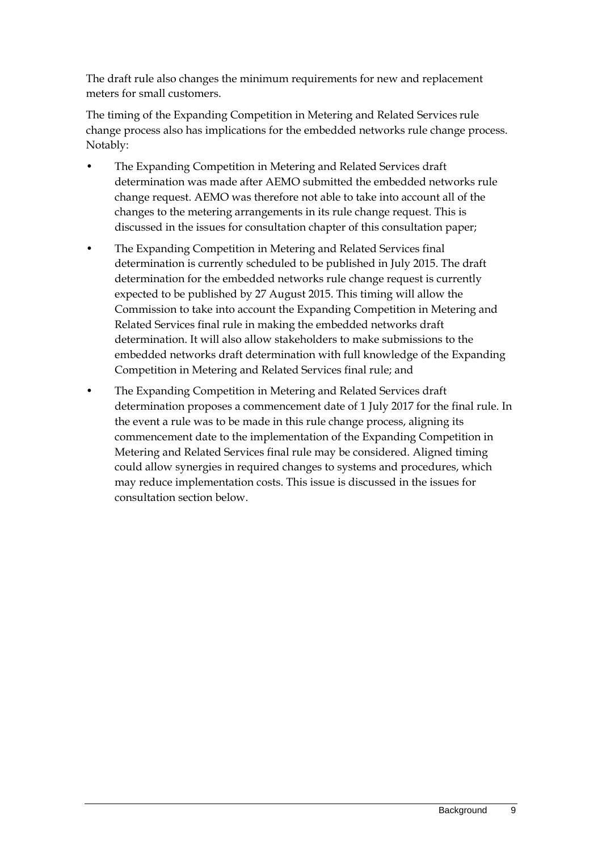The draft rule also changes the minimum requirements for new and replacement meters for small customers.

The timing of the Expanding Competition in Metering and Related Services rule change process also has implications for the embedded networks rule change process. Notably:

- The Expanding Competition in Metering and Related Services draft determination was made after AEMO submitted the embedded networks rule change request. AEMO was therefore not able to take into account all of the changes to the metering arrangements in its rule change request. This is discussed in the issues for consultation chapter of this consultation paper;
- The Expanding Competition in Metering and Related Services final determination is currently scheduled to be published in July 2015. The draft determination for the embedded networks rule change request is currently expected to be published by 27 August 2015. This timing will allow the Commission to take into account the Expanding Competition in Metering and Related Services final rule in making the embedded networks draft determination. It will also allow stakeholders to make submissions to the embedded networks draft determination with full knowledge of the Expanding Competition in Metering and Related Services final rule; and
- The Expanding Competition in Metering and Related Services draft determination proposes a commencement date of 1 July 2017 for the final rule. In the event a rule was to be made in this rule change process, aligning its commencement date to the implementation of the Expanding Competition in Metering and Related Services final rule may be considered. Aligned timing could allow synergies in required changes to systems and procedures, which may reduce implementation costs. This issue is discussed in the issues for consultation section below.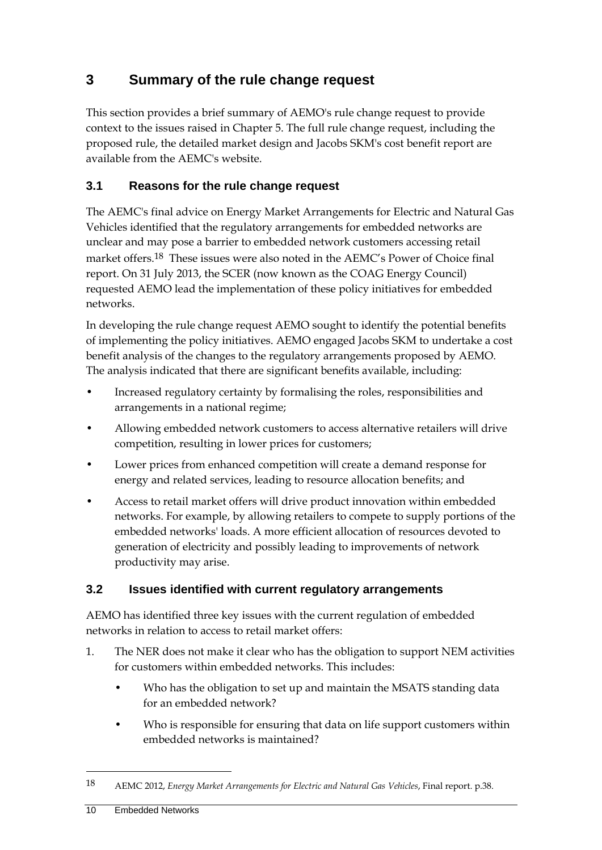# **3 Summary of the rule change request**

This section provides a brief summary of AEMO's rule change request to provide context to the issues raised in Chapter 5. The full rule change request, including the proposed rule, the detailed market design and Jacobs SKM's cost benefit report are available from the AEMC's website.

### **3.1 Reasons for the rule change request**

The AEMC's final advice on Energy Market Arrangements for Electric and Natural Gas Vehicles identified that the regulatory arrangements for embedded networks are unclear and may pose a barrier to embedded network customers accessing retail market offers.18 These issues were also noted in the AEMC's Power of Choice final report. On 31 July 2013, the SCER (now known as the COAG Energy Council) requested AEMO lead the implementation of these policy initiatives for embedded networks.

In developing the rule change request AEMO sought to identify the potential benefits of implementing the policy initiatives. AEMO engaged Jacobs SKM to undertake a cost benefit analysis of the changes to the regulatory arrangements proposed by AEMO. The analysis indicated that there are significant benefits available, including:

- Increased regulatory certainty by formalising the roles, responsibilities and arrangements in a national regime;
- Allowing embedded network customers to access alternative retailers will drive competition, resulting in lower prices for customers;
- Lower prices from enhanced competition will create a demand response for energy and related services, leading to resource allocation benefits; and
- Access to retail market offers will drive product innovation within embedded networks. For example, by allowing retailers to compete to supply portions of the embedded networks' loads. A more efficient allocation of resources devoted to generation of electricity and possibly leading to improvements of network productivity may arise.

### **3.2 Issues identified with current regulatory arrangements**

AEMO has identified three key issues with the current regulation of embedded networks in relation to access to retail market offers:

- 1. The NER does not make it clear who has the obligation to support NEM activities for customers within embedded networks. This includes:
	- Who has the obligation to set up and maintain the MSATS standing data for an embedded network?
	- Who is responsible for ensuring that data on life support customers within embedded networks is maintained?

<sup>18</sup> AEMC 2012, *Energy Market Arrangements for Electric and Natural Gas Vehicles*, Final report. p.38.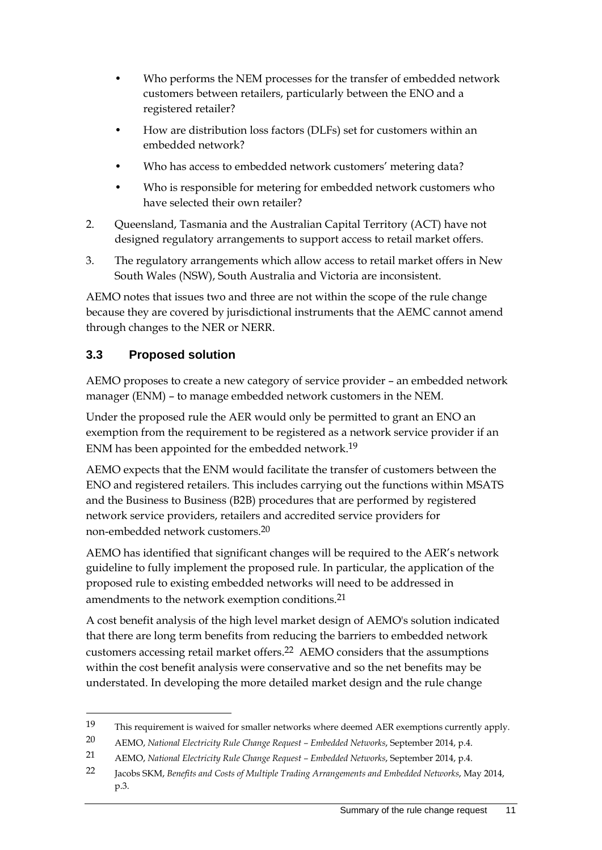- Who performs the NEM processes for the transfer of embedded network customers between retailers, particularly between the ENO and a registered retailer?
- How are distribution loss factors (DLFs) set for customers within an embedded network?
- Who has access to embedded network customers' metering data?
- Who is responsible for metering for embedded network customers who have selected their own retailer?
- 2. Queensland, Tasmania and the Australian Capital Territory (ACT) have not designed regulatory arrangements to support access to retail market offers.
- 3. The regulatory arrangements which allow access to retail market offers in New South Wales (NSW), South Australia and Victoria are inconsistent.

AEMO notes that issues two and three are not within the scope of the rule change because they are covered by jurisdictional instruments that the AEMC cannot amend through changes to the NER or NERR.

# **3.3 Proposed solution**

1

AEMO proposes to create a new category of service provider – an embedded network manager (ENM) – to manage embedded network customers in the NEM.

Under the proposed rule the AER would only be permitted to grant an ENO an exemption from the requirement to be registered as a network service provider if an ENM has been appointed for the embedded network.19

AEMO expects that the ENM would facilitate the transfer of customers between the ENO and registered retailers. This includes carrying out the functions within MSATS and the Business to Business (B2B) procedures that are performed by registered network service providers, retailers and accredited service providers for non-embedded network customers.20

AEMO has identified that significant changes will be required to the AER's network guideline to fully implement the proposed rule. In particular, the application of the proposed rule to existing embedded networks will need to be addressed in amendments to the network exemption conditions.<sup>21</sup>

A cost benefit analysis of the high level market design of AEMO's solution indicated that there are long term benefits from reducing the barriers to embedded network customers accessing retail market offers.22 AEMO considers that the assumptions within the cost benefit analysis were conservative and so the net benefits may be understated. In developing the more detailed market design and the rule change

<sup>19</sup> This requirement is waived for smaller networks where deemed AER exemptions currently apply.

<sup>20</sup> AEMO, *National Electricity Rule Change Request – Embedded Networks*, September 2014, p.4.

<sup>21</sup> AEMO, *National Electricity Rule Change Request – Embedded Networks*, September 2014, p.4.

<sup>22</sup> Jacobs SKM, *Benefits and Costs of Multiple Trading Arrangements and Embedded Networks*, May 2014, p.3.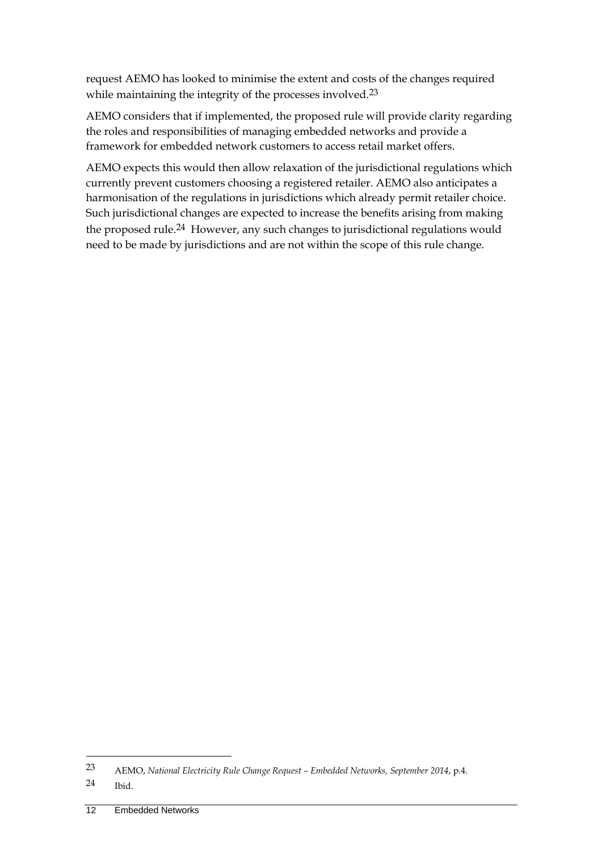request AEMO has looked to minimise the extent and costs of the changes required while maintaining the integrity of the processes involved.<sup>23</sup>

AEMO considers that if implemented, the proposed rule will provide clarity regarding the roles and responsibilities of managing embedded networks and provide a framework for embedded network customers to access retail market offers.

AEMO expects this would then allow relaxation of the jurisdictional regulations which currently prevent customers choosing a registered retailer. AEMO also anticipates a harmonisation of the regulations in jurisdictions which already permit retailer choice. Such jurisdictional changes are expected to increase the benefits arising from making the proposed rule.<sup>24</sup> However, any such changes to jurisdictional regulations would need to be made by jurisdictions and are not within the scope of this rule change.

<sup>23</sup> AEMO, *National Electricity Rule Change Request – Embedded Networks, September 2014*, p.4.

<sup>24</sup> Ibid.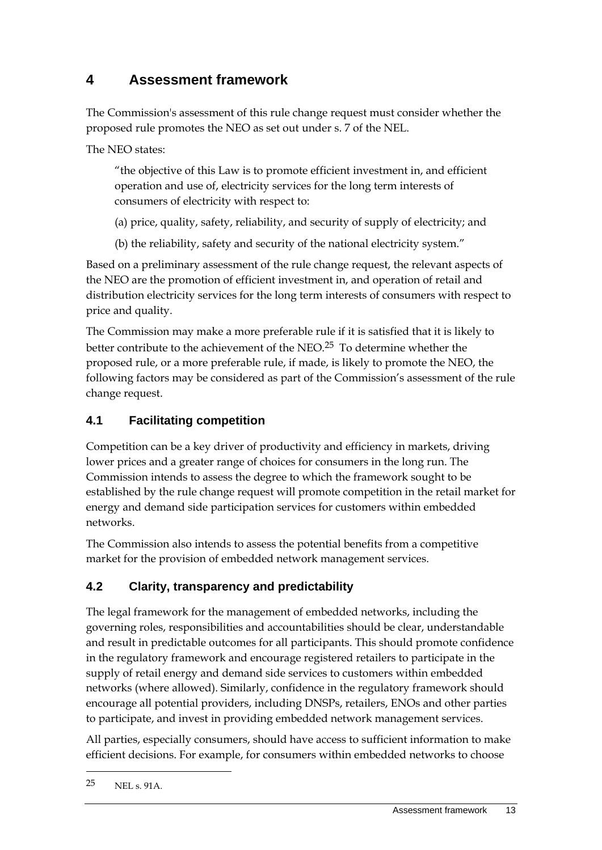# **4 Assessment framework**

The Commission's assessment of this rule change request must consider whether the proposed rule promotes the NEO as set out under s. 7 of the NEL.

The NEO states:

"the objective of this Law is to promote efficient investment in, and efficient operation and use of, electricity services for the long term interests of consumers of electricity with respect to:

- (a) price, quality, safety, reliability, and security of supply of electricity; and
- (b) the reliability, safety and security of the national electricity system."

Based on a preliminary assessment of the rule change request, the relevant aspects of the NEO are the promotion of efficient investment in, and operation of retail and distribution electricity services for the long term interests of consumers with respect to price and quality.

The Commission may make a more preferable rule if it is satisfied that it is likely to better contribute to the achievement of the NEO.25 To determine whether the proposed rule, or a more preferable rule, if made, is likely to promote the NEO, the following factors may be considered as part of the Commission's assessment of the rule change request.

# **4.1 Facilitating competition**

Competition can be a key driver of productivity and efficiency in markets, driving lower prices and a greater range of choices for consumers in the long run. The Commission intends to assess the degree to which the framework sought to be established by the rule change request will promote competition in the retail market for energy and demand side participation services for customers within embedded networks.

The Commission also intends to assess the potential benefits from a competitive market for the provision of embedded network management services.

# **4.2 Clarity, transparency and predictability**

The legal framework for the management of embedded networks, including the governing roles, responsibilities and accountabilities should be clear, understandable and result in predictable outcomes for all participants. This should promote confidence in the regulatory framework and encourage registered retailers to participate in the supply of retail energy and demand side services to customers within embedded networks (where allowed). Similarly, confidence in the regulatory framework should encourage all potential providers, including DNSPs, retailers, ENOs and other parties to participate, and invest in providing embedded network management services.

All parties, especially consumers, should have access to sufficient information to make efficient decisions. For example, for consumers within embedded networks to choose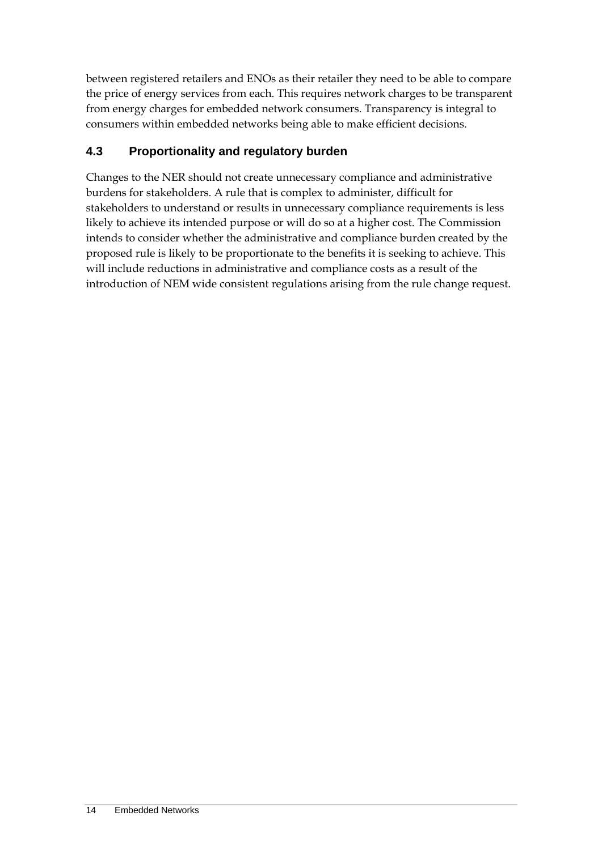between registered retailers and ENOs as their retailer they need to be able to compare the price of energy services from each. This requires network charges to be transparent from energy charges for embedded network consumers. Transparency is integral to consumers within embedded networks being able to make efficient decisions.

# **4.3 Proportionality and regulatory burden**

Changes to the NER should not create unnecessary compliance and administrative burdens for stakeholders. A rule that is complex to administer, difficult for stakeholders to understand or results in unnecessary compliance requirements is less likely to achieve its intended purpose or will do so at a higher cost. The Commission intends to consider whether the administrative and compliance burden created by the proposed rule is likely to be proportionate to the benefits it is seeking to achieve. This will include reductions in administrative and compliance costs as a result of the introduction of NEM wide consistent regulations arising from the rule change request.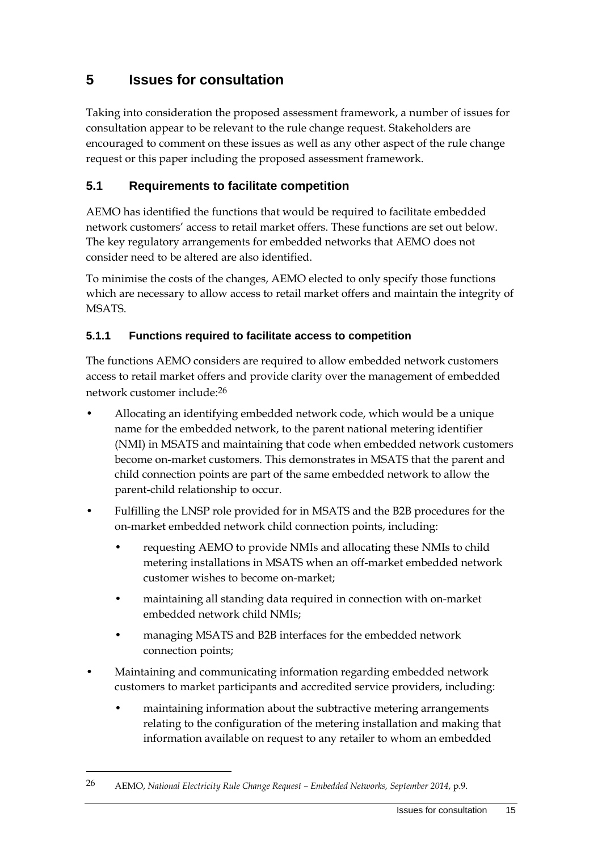# **5 Issues for consultation**

Taking into consideration the proposed assessment framework, a number of issues for consultation appear to be relevant to the rule change request. Stakeholders are encouraged to comment on these issues as well as any other aspect of the rule change request or this paper including the proposed assessment framework.

# **5.1 Requirements to facilitate competition**

AEMO has identified the functions that would be required to facilitate embedded network customers' access to retail market offers. These functions are set out below. The key regulatory arrangements for embedded networks that AEMO does not consider need to be altered are also identified.

To minimise the costs of the changes, AEMO elected to only specify those functions which are necessary to allow access to retail market offers and maintain the integrity of MSATS.

### **5.1.1 Functions required to facilitate access to competition**

The functions AEMO considers are required to allow embedded network customers access to retail market offers and provide clarity over the management of embedded network customer include:26

- Allocating an identifying embedded network code, which would be a unique name for the embedded network, to the parent national metering identifier (NMI) in MSATS and maintaining that code when embedded network customers become on-market customers. This demonstrates in MSATS that the parent and child connection points are part of the same embedded network to allow the parent-child relationship to occur.
- Fulfilling the LNSP role provided for in MSATS and the B2B procedures for the on-market embedded network child connection points, including:
	- requesting AEMO to provide NMIs and allocating these NMIs to child metering installations in MSATS when an off-market embedded network customer wishes to become on-market;
	- maintaining all standing data required in connection with on-market embedded network child NMIs;
	- managing MSATS and B2B interfaces for the embedded network connection points;
- Maintaining and communicating information regarding embedded network customers to market participants and accredited service providers, including:
	- maintaining information about the subtractive metering arrangements relating to the configuration of the metering installation and making that information available on request to any retailer to whom an embedded

<sup>26</sup> AEMO, *National Electricity Rule Change Request – Embedded Networks, September 2014*, p.9.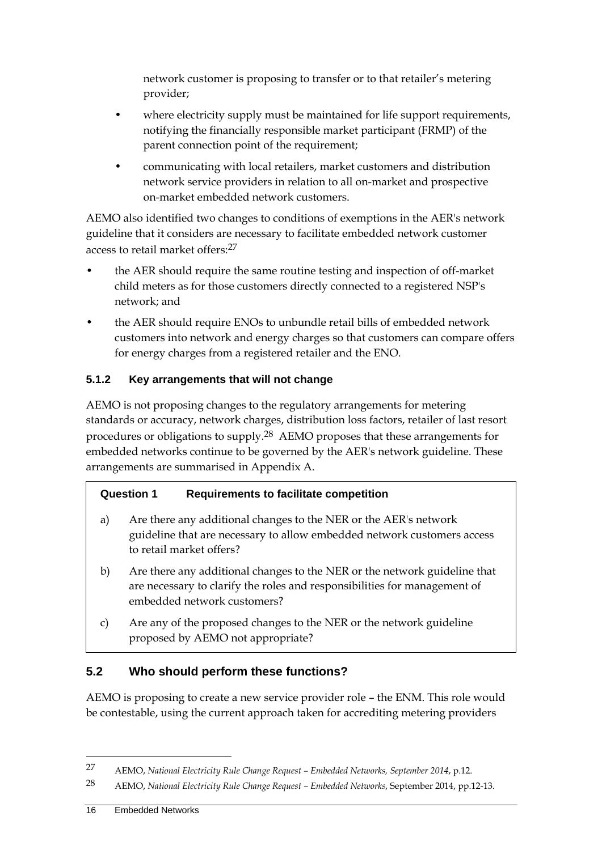network customer is proposing to transfer or to that retailer's metering provider;

- where electricity supply must be maintained for life support requirements, notifying the financially responsible market participant (FRMP) of the parent connection point of the requirement;
- communicating with local retailers, market customers and distribution network service providers in relation to all on-market and prospective on-market embedded network customers.

AEMO also identified two changes to conditions of exemptions in the AER's network guideline that it considers are necessary to facilitate embedded network customer access to retail market offers:27

- the AER should require the same routine testing and inspection of off-market child meters as for those customers directly connected to a registered NSP's network; and
- the AER should require ENOs to unbundle retail bills of embedded network customers into network and energy charges so that customers can compare offers for energy charges from a registered retailer and the ENO.

### **5.1.2 Key arrangements that will not change**

AEMO is not proposing changes to the regulatory arrangements for metering standards or accuracy, network charges, distribution loss factors, retailer of last resort procedures or obligations to supply.28 AEMO proposes that these arrangements for embedded networks continue to be governed by the AER's network guideline. These arrangements are summarised in Appendix A.

### **Question 1 Requirements to facilitate competition**

- a) Are there any additional changes to the NER or the AER's network guideline that are necessary to allow embedded network customers access to retail market offers?
- b) Are there any additional changes to the NER or the network guideline that are necessary to clarify the roles and responsibilities for management of embedded network customers?
- c) Are any of the proposed changes to the NER or the network guideline proposed by AEMO not appropriate?

# **5.2 Who should perform these functions?**

AEMO is proposing to create a new service provider role – the ENM. This role would be contestable, using the current approach taken for accrediting metering providers

<sup>27</sup> AEMO, *National Electricity Rule Change Request – Embedded Networks, September 2014*, p.12.

<sup>28</sup> AEMO, *National Electricity Rule Change Request – Embedded Networks*, September 2014, pp.12-13.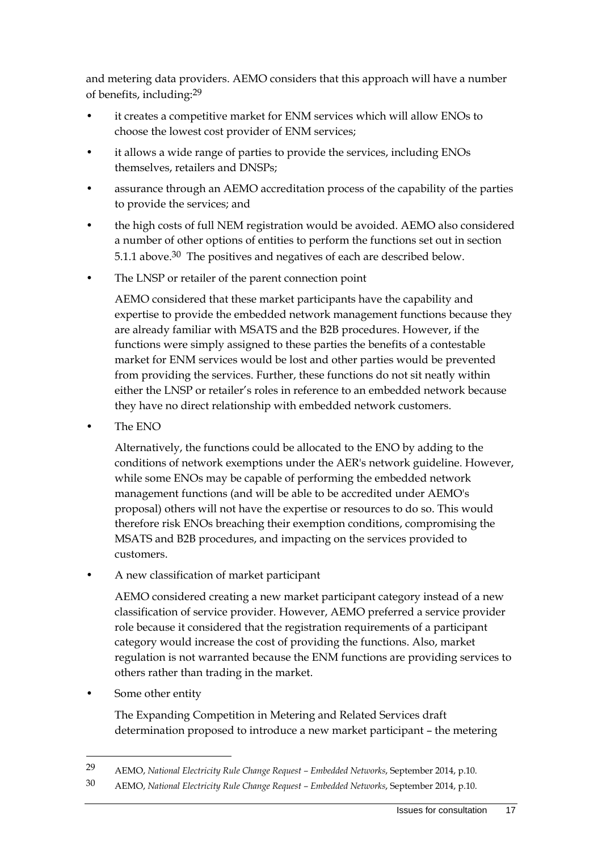and metering data providers. AEMO considers that this approach will have a number of benefits, including:29

- it creates a competitive market for ENM services which will allow ENOs to choose the lowest cost provider of ENM services;
- it allows a wide range of parties to provide the services, including ENOs themselves, retailers and DNSPs;
- assurance through an AEMO accreditation process of the capability of the parties to provide the services; and
- the high costs of full NEM registration would be avoided. AEMO also considered a number of other options of entities to perform the functions set out in section 5.1.1 above.<sup>30</sup> The positives and negatives of each are described below.
- The LNSP or retailer of the parent connection point

AEMO considered that these market participants have the capability and expertise to provide the embedded network management functions because they are already familiar with MSATS and the B2B procedures. However, if the functions were simply assigned to these parties the benefits of a contestable market for ENM services would be lost and other parties would be prevented from providing the services. Further, these functions do not sit neatly within either the LNSP or retailer's roles in reference to an embedded network because they have no direct relationship with embedded network customers.

• The ENO

Alternatively, the functions could be allocated to the ENO by adding to the conditions of network exemptions under the AER's network guideline. However, while some ENOs may be capable of performing the embedded network management functions (and will be able to be accredited under AEMO's proposal) others will not have the expertise or resources to do so. This would therefore risk ENOs breaching their exemption conditions, compromising the MSATS and B2B procedures, and impacting on the services provided to customers.

• A new classification of market participant

AEMO considered creating a new market participant category instead of a new classification of service provider. However, AEMO preferred a service provider role because it considered that the registration requirements of a participant category would increase the cost of providing the functions. Also, market regulation is not warranted because the ENM functions are providing services to others rather than trading in the market.

Some other entity

1

The Expanding Competition in Metering and Related Services draft determination proposed to introduce a new market participant – the metering

<sup>29</sup> AEMO, *National Electricity Rule Change Request – Embedded Networks*, September 2014, p.10.

<sup>30</sup> AEMO, *National Electricity Rule Change Request – Embedded Networks*, September 2014, p.10.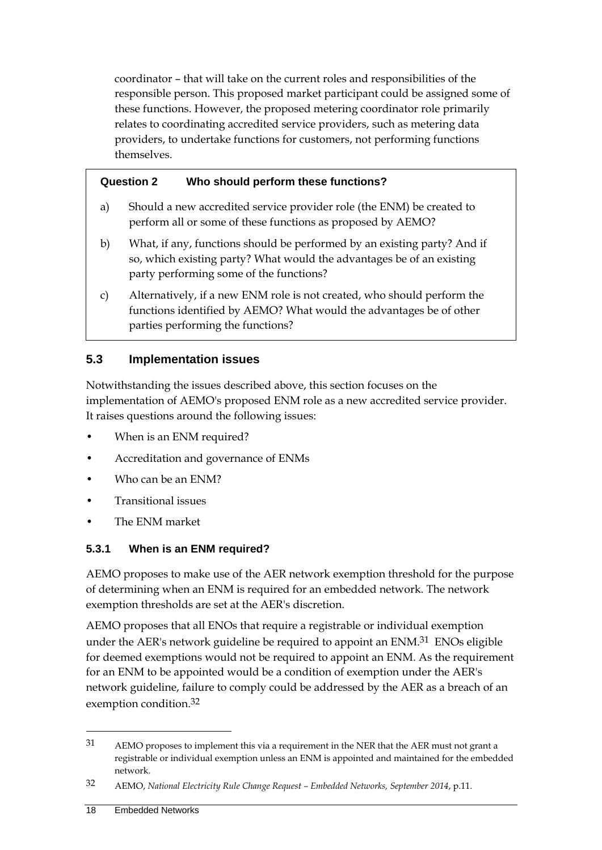coordinator – that will take on the current roles and responsibilities of the responsible person. This proposed market participant could be assigned some of these functions. However, the proposed metering coordinator role primarily relates to coordinating accredited service providers, such as metering data providers, to undertake functions for customers, not performing functions themselves.

#### **Question 2 Who should perform these functions?**

- a) Should a new accredited service provider role (the ENM) be created to perform all or some of these functions as proposed by AEMO?
- b) What, if any, functions should be performed by an existing party? And if so, which existing party? What would the advantages be of an existing party performing some of the functions?
- c) Alternatively, if a new ENM role is not created, who should perform the functions identified by AEMO? What would the advantages be of other parties performing the functions?

#### **5.3 Implementation issues**

Notwithstanding the issues described above, this section focuses on the implementation of AEMO's proposed ENM role as a new accredited service provider. It raises questions around the following issues:

- When is an ENM required?
- Accreditation and governance of ENMs
- Who can be an ENM?
- Transitional issues
- The ENM market

#### **5.3.1 When is an ENM required?**

AEMO proposes to make use of the AER network exemption threshold for the purpose of determining when an ENM is required for an embedded network. The network exemption thresholds are set at the AER's discretion.

AEMO proposes that all ENOs that require a registrable or individual exemption under the AER's network guideline be required to appoint an ENM.<sup>31</sup> ENOs eligible for deemed exemptions would not be required to appoint an ENM. As the requirement for an ENM to be appointed would be a condition of exemption under the AER's network guideline, failure to comply could be addressed by the AER as a breach of an exemption condition.32

<sup>31</sup> AEMO proposes to implement this via a requirement in the NER that the AER must not grant a registrable or individual exemption unless an ENM is appointed and maintained for the embedded network.

<sup>32</sup> AEMO, *National Electricity Rule Change Request – Embedded Networks, September 2014*, p.11.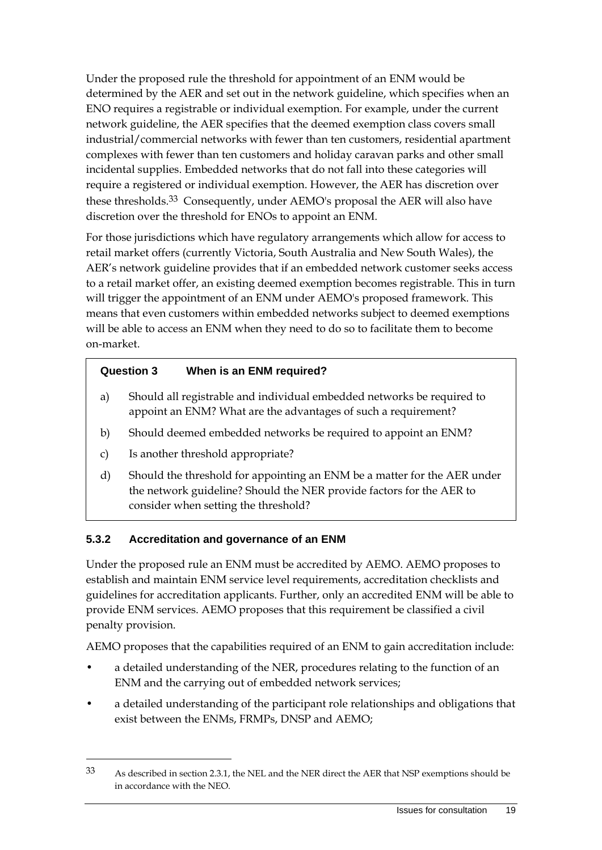Under the proposed rule the threshold for appointment of an ENM would be determined by the AER and set out in the network guideline, which specifies when an ENO requires a registrable or individual exemption. For example, under the current network guideline, the AER specifies that the deemed exemption class covers small industrial/commercial networks with fewer than ten customers, residential apartment complexes with fewer than ten customers and holiday caravan parks and other small incidental supplies. Embedded networks that do not fall into these categories will require a registered or individual exemption. However, the AER has discretion over these thresholds.<sup>33</sup> Consequently, under AEMO's proposal the AER will also have discretion over the threshold for ENOs to appoint an ENM.

For those jurisdictions which have regulatory arrangements which allow for access to retail market offers (currently Victoria, South Australia and New South Wales), the AER's network guideline provides that if an embedded network customer seeks access to a retail market offer, an existing deemed exemption becomes registrable. This in turn will trigger the appointment of an ENM under AEMO's proposed framework. This means that even customers within embedded networks subject to deemed exemptions will be able to access an ENM when they need to do so to facilitate them to become on-market.

#### **Question 3 When is an ENM required?**

- a) Should all registrable and individual embedded networks be required to appoint an ENM? What are the advantages of such a requirement?
- b) Should deemed embedded networks be required to appoint an ENM?
- c) Is another threshold appropriate?

1

d) Should the threshold for appointing an ENM be a matter for the AER under the network guideline? Should the NER provide factors for the AER to consider when setting the threshold?

#### **5.3.2 Accreditation and governance of an ENM**

Under the proposed rule an ENM must be accredited by AEMO. AEMO proposes to establish and maintain ENM service level requirements, accreditation checklists and guidelines for accreditation applicants. Further, only an accredited ENM will be able to provide ENM services. AEMO proposes that this requirement be classified a civil penalty provision.

AEMO proposes that the capabilities required of an ENM to gain accreditation include:

- a detailed understanding of the NER, procedures relating to the function of an ENM and the carrying out of embedded network services;
- a detailed understanding of the participant role relationships and obligations that exist between the ENMs, FRMPs, DNSP and AEMO;

<sup>33</sup> As described in section 2.3.1, the NEL and the NER direct the AER that NSP exemptions should be in accordance with the NEO.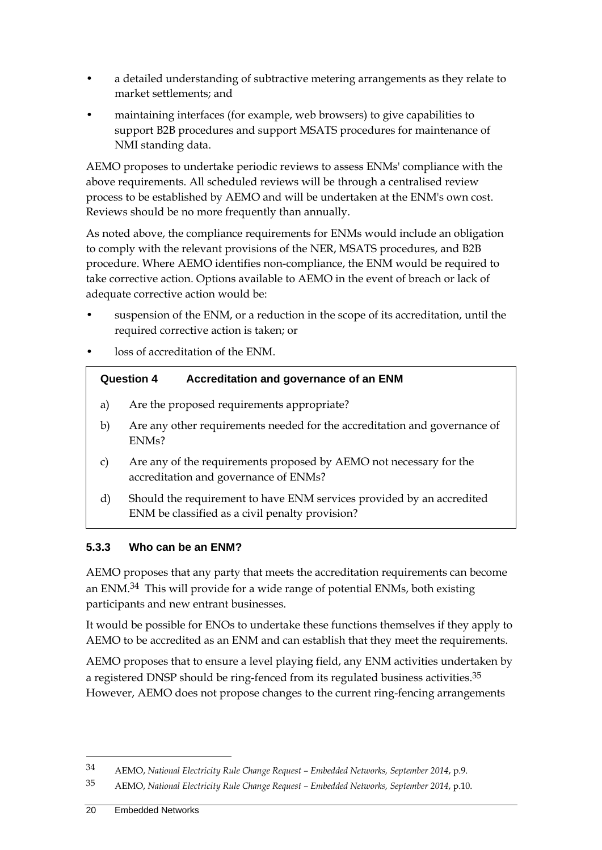- a detailed understanding of subtractive metering arrangements as they relate to market settlements; and
- maintaining interfaces (for example, web browsers) to give capabilities to support B2B procedures and support MSATS procedures for maintenance of NMI standing data.

AEMO proposes to undertake periodic reviews to assess ENMs' compliance with the above requirements. All scheduled reviews will be through a centralised review process to be established by AEMO and will be undertaken at the ENM's own cost. Reviews should be no more frequently than annually.

As noted above, the compliance requirements for ENMs would include an obligation to comply with the relevant provisions of the NER, MSATS procedures, and B2B procedure. Where AEMO identifies non-compliance, the ENM would be required to take corrective action. Options available to AEMO in the event of breach or lack of adequate corrective action would be:

- suspension of the ENM, or a reduction in the scope of its accreditation, until the required corrective action is taken; or
- loss of accreditation of the ENM.

| Accreditation and governance of an ENM<br><b>Question 4</b>                                     |
|-------------------------------------------------------------------------------------------------|
| Are the proposed requirements appropriate?                                                      |
| Are any other requirements needed for the accreditation and governance of<br>ENM <sub>s</sub> ? |

- c) Are any of the requirements proposed by AEMO not necessary for the accreditation and governance of ENMs?
- d) Should the requirement to have ENM services provided by an accredited ENM be classified as a civil penalty provision?

#### **5.3.3 Who can be an ENM?**

AEMO proposes that any party that meets the accreditation requirements can become an ENM.34 This will provide for a wide range of potential ENMs, both existing participants and new entrant businesses.

It would be possible for ENOs to undertake these functions themselves if they apply to AEMO to be accredited as an ENM and can establish that they meet the requirements.

AEMO proposes that to ensure a level playing field, any ENM activities undertaken by a registered DNSP should be ring-fenced from its regulated business activities.<sup>35</sup> However, AEMO does not propose changes to the current ring-fencing arrangements

<sup>34</sup> AEMO, *National Electricity Rule Change Request – Embedded Networks, September 2014*, p.9.

<sup>35</sup> AEMO, *National Electricity Rule Change Request – Embedded Networks, September 2014*, p.10.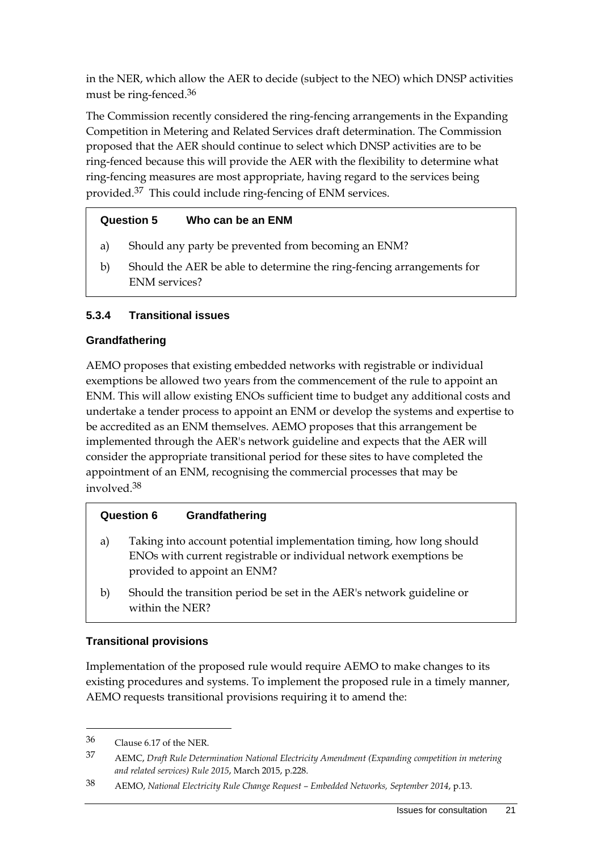in the NER, which allow the AER to decide (subject to the NEO) which DNSP activities must be ring-fenced.36

The Commission recently considered the ring-fencing arrangements in the Expanding Competition in Metering and Related Services draft determination. The Commission proposed that the AER should continue to select which DNSP activities are to be ring-fenced because this will provide the AER with the flexibility to determine what ring-fencing measures are most appropriate, having regard to the services being provided.37 This could include ring-fencing of ENM services.

### **Question 5 Who can be an ENM**

- a) Should any party be prevented from becoming an ENM?
- b) Should the AER be able to determine the ring-fencing arrangements for ENM services?

### **5.3.4 Transitional issues**

#### **Grandfathering**

AEMO proposes that existing embedded networks with registrable or individual exemptions be allowed two years from the commencement of the rule to appoint an ENM. This will allow existing ENOs sufficient time to budget any additional costs and undertake a tender process to appoint an ENM or develop the systems and expertise to be accredited as an ENM themselves. AEMO proposes that this arrangement be implemented through the AER's network guideline and expects that the AER will consider the appropriate transitional period for these sites to have completed the appointment of an ENM, recognising the commercial processes that may be involved.38

#### **Question 6 Grandfathering**

- a) Taking into account potential implementation timing, how long should ENOs with current registrable or individual network exemptions be provided to appoint an ENM?
- b) Should the transition period be set in the AER's network guideline or within the NER?

#### **Transitional provisions**

Implementation of the proposed rule would require AEMO to make changes to its existing procedures and systems. To implement the proposed rule in a timely manner, AEMO requests transitional provisions requiring it to amend the:

<sup>36</sup> Clause 6.17 of the NER.

<sup>37</sup> AEMC, *Draft Rule Determination National Electricity Amendment (Expanding competition in metering and related services) Rule 2015*, March 2015, p.228.

<sup>38</sup> AEMO, *National Electricity Rule Change Request – Embedded Networks, September 2014*, p.13.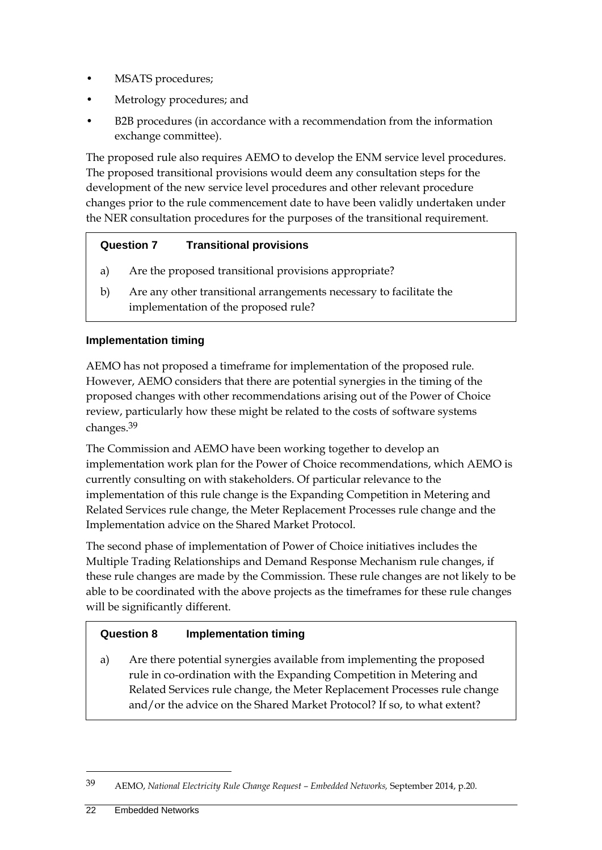- MSATS procedures;
- Metrology procedures; and
- B2B procedures (in accordance with a recommendation from the information exchange committee).

The proposed rule also requires AEMO to develop the ENM service level procedures. The proposed transitional provisions would deem any consultation steps for the development of the new service level procedures and other relevant procedure changes prior to the rule commencement date to have been validly undertaken under the NER consultation procedures for the purposes of the transitional requirement.

### **Question 7 Transitional provisions**

- a) Are the proposed transitional provisions appropriate?
- b) Are any other transitional arrangements necessary to facilitate the implementation of the proposed rule?

#### **Implementation timing**

AEMO has not proposed a timeframe for implementation of the proposed rule. However, AEMO considers that there are potential synergies in the timing of the proposed changes with other recommendations arising out of the Power of Choice review, particularly how these might be related to the costs of software systems changes.39

The Commission and AEMO have been working together to develop an implementation work plan for the Power of Choice recommendations, which AEMO is currently consulting on with stakeholders. Of particular relevance to the implementation of this rule change is the Expanding Competition in Metering and Related Services rule change, the Meter Replacement Processes rule change and the Implementation advice on the Shared Market Protocol.

The second phase of implementation of Power of Choice initiatives includes the Multiple Trading Relationships and Demand Response Mechanism rule changes, if these rule changes are made by the Commission. These rule changes are not likely to be able to be coordinated with the above projects as the timeframes for these rule changes will be significantly different.

#### **Question 8 Implementation timing**

a) Are there potential synergies available from implementing the proposed rule in co-ordination with the Expanding Competition in Metering and Related Services rule change, the Meter Replacement Processes rule change and/or the advice on the Shared Market Protocol? If so, to what extent?

<sup>39</sup> AEMO, *National Electricity Rule Change Request – Embedded Networks,* September 2014, p.20.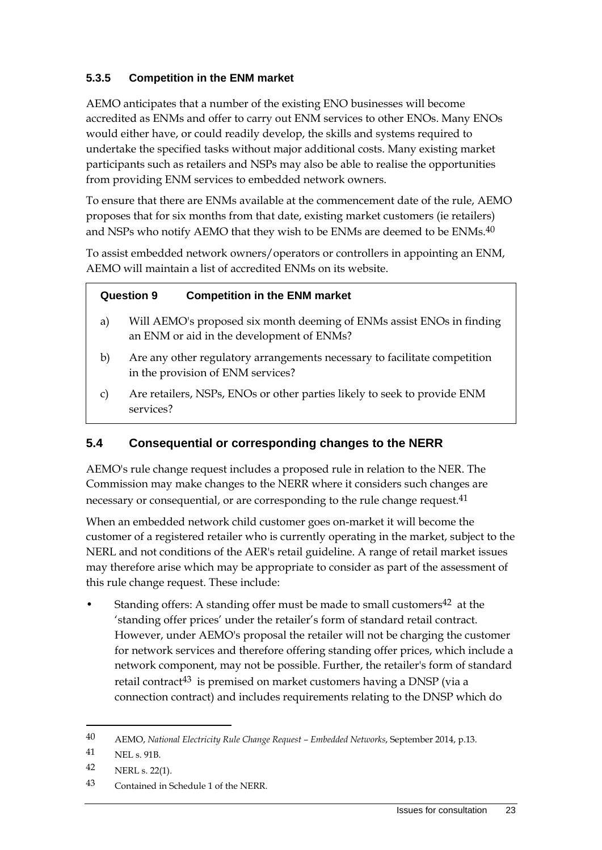### **5.3.5 Competition in the ENM market**

AEMO anticipates that a number of the existing ENO businesses will become accredited as ENMs and offer to carry out ENM services to other ENOs. Many ENOs would either have, or could readily develop, the skills and systems required to undertake the specified tasks without major additional costs. Many existing market participants such as retailers and NSPs may also be able to realise the opportunities from providing ENM services to embedded network owners.

To ensure that there are ENMs available at the commencement date of the rule, AEMO proposes that for six months from that date, existing market customers (ie retailers) and NSPs who notify AEMO that they wish to be ENMs are deemed to be ENMs.<sup>40</sup>

To assist embedded network owners/operators or controllers in appointing an ENM, AEMO will maintain a list of accredited ENMs on its website.

#### **Question 9 Competition in the ENM market**

- a) Will AEMO's proposed six month deeming of ENMs assist ENOs in finding an ENM or aid in the development of ENMs?
- b) Are any other regulatory arrangements necessary to facilitate competition in the provision of ENM services?
- c) Are retailers, NSPs, ENOs or other parties likely to seek to provide ENM services?

#### **5.4 Consequential or corresponding changes to the NERR**

AEMO's rule change request includes a proposed rule in relation to the NER. The Commission may make changes to the NERR where it considers such changes are necessary or consequential, or are corresponding to the rule change request.<sup>41</sup>

When an embedded network child customer goes on-market it will become the customer of a registered retailer who is currently operating in the market, subject to the NERL and not conditions of the AER's retail guideline. A range of retail market issues may therefore arise which may be appropriate to consider as part of the assessment of this rule change request. These include:

Standing offers: A standing offer must be made to small customers<sup>42</sup> at the 'standing offer prices' under the retailer's form of standard retail contract. However, under AEMO's proposal the retailer will not be charging the customer for network services and therefore offering standing offer prices, which include a network component, may not be possible. Further, the retailer's form of standard retail contract43 is premised on market customers having a DNSP (via a connection contract) and includes requirements relating to the DNSP which do

<sup>40</sup> AEMO, *National Electricity Rule Change Request – Embedded Networks*, September 2014, p.13.

<sup>41</sup> NEL s. 91B.

<sup>42</sup> NERL s. 22(1).

<sup>43</sup> Contained in Schedule 1 of the NERR.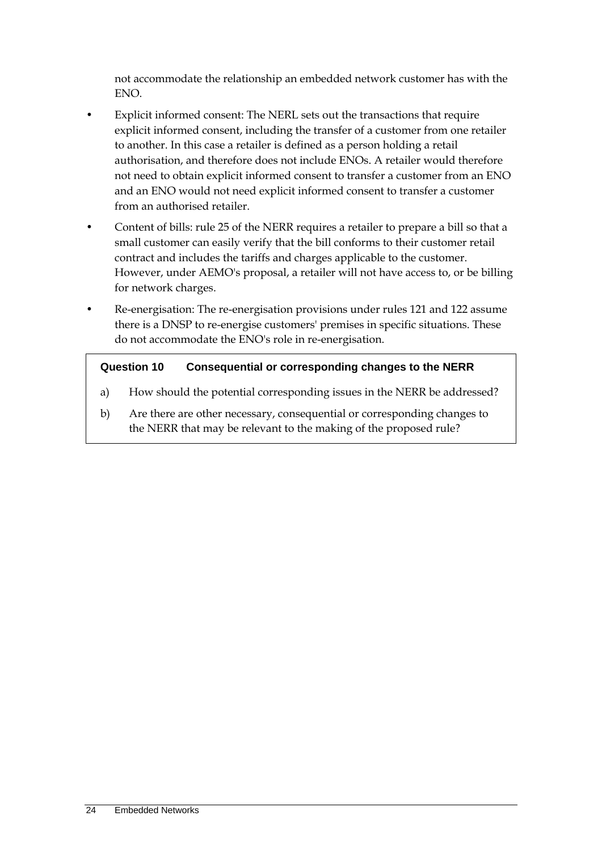not accommodate the relationship an embedded network customer has with the ENO.

- Explicit informed consent: The NERL sets out the transactions that require explicit informed consent, including the transfer of a customer from one retailer to another. In this case a retailer is defined as a person holding a retail authorisation, and therefore does not include ENOs. A retailer would therefore not need to obtain explicit informed consent to transfer a customer from an ENO and an ENO would not need explicit informed consent to transfer a customer from an authorised retailer.
- Content of bills: rule 25 of the NERR requires a retailer to prepare a bill so that a small customer can easily verify that the bill conforms to their customer retail contract and includes the tariffs and charges applicable to the customer. However, under AEMO's proposal, a retailer will not have access to, or be billing for network charges.
- Re-energisation: The re-energisation provisions under rules 121 and 122 assume there is a DNSP to re-energise customers' premises in specific situations. These do not accommodate the ENO's role in re-energisation.

#### **Question 10 Consequential or corresponding changes to the NERR**

- a) How should the potential corresponding issues in the NERR be addressed?
- b) Are there are other necessary, consequential or corresponding changes to the NERR that may be relevant to the making of the proposed rule?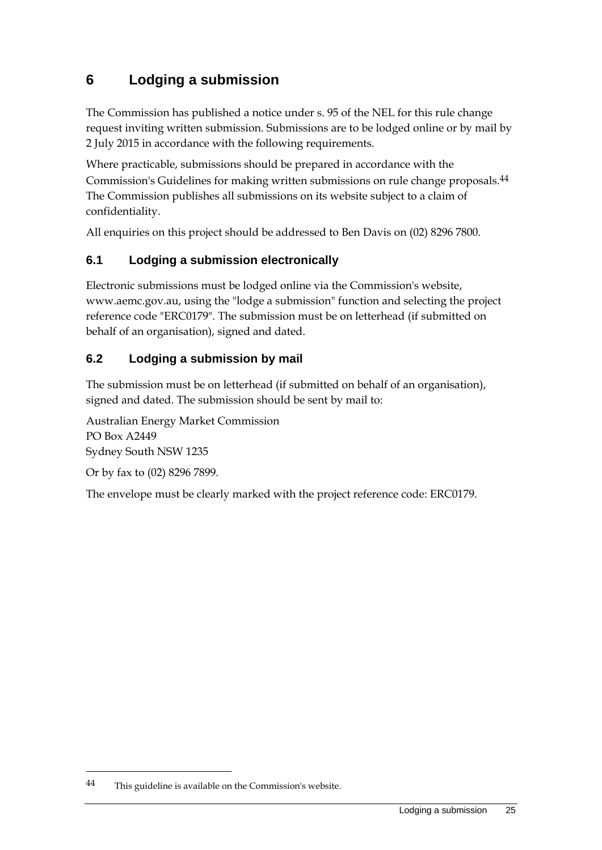# **6 Lodging a submission**

The Commission has published a notice under s. 95 of the NEL for this rule change request inviting written submission. Submissions are to be lodged online or by mail by 2 July 2015 in accordance with the following requirements.

Where practicable, submissions should be prepared in accordance with the Commission's Guidelines for making written submissions on rule change proposals.44 The Commission publishes all submissions on its website subject to a claim of confidentiality.

All enquiries on this project should be addressed to Ben Davis on (02) 8296 7800.

### **6.1 Lodging a submission electronically**

Electronic submissions must be lodged online via the Commission's website, www.aemc.gov.au, using the "lodge a submission" function and selecting the project reference code "ERC0179". The submission must be on letterhead (if submitted on behalf of an organisation), signed and dated.

### **6.2 Lodging a submission by mail**

The submission must be on letterhead (if submitted on behalf of an organisation), signed and dated. The submission should be sent by mail to:

Australian Energy Market Commission PO Box A2449 Sydney South NSW 1235

Or by fax to (02) 8296 7899.

1

The envelope must be clearly marked with the project reference code: ERC0179.

<sup>44</sup> This guideline is available on the Commission's website.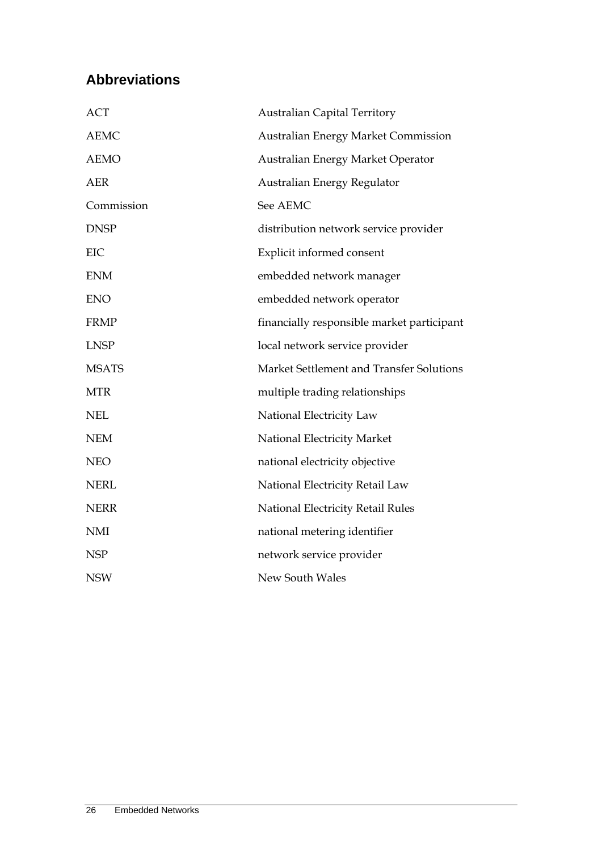# **Abbreviations**

| <b>ACT</b>   | <b>Australian Capital Territory</b>        |
|--------------|--------------------------------------------|
| <b>AEMC</b>  | <b>Australian Energy Market Commission</b> |
| <b>AEMO</b>  | Australian Energy Market Operator          |
| <b>AER</b>   | Australian Energy Regulator                |
| Commission   | See AEMC                                   |
| <b>DNSP</b>  | distribution network service provider      |
| EIC          | Explicit informed consent                  |
| <b>ENM</b>   | embedded network manager                   |
| <b>ENO</b>   | embedded network operator                  |
| <b>FRMP</b>  | financially responsible market participant |
| <b>LNSP</b>  | local network service provider             |
| <b>MSATS</b> | Market Settlement and Transfer Solutions   |
| <b>MTR</b>   | multiple trading relationships             |
| <b>NEL</b>   | National Electricity Law                   |
| <b>NEM</b>   | National Electricity Market                |
| <b>NEO</b>   | national electricity objective             |
| <b>NERL</b>  | National Electricity Retail Law            |
| <b>NERR</b>  | National Electricity Retail Rules          |
| <b>NMI</b>   | national metering identifier               |
| <b>NSP</b>   | network service provider                   |
| <b>NSW</b>   | New South Wales                            |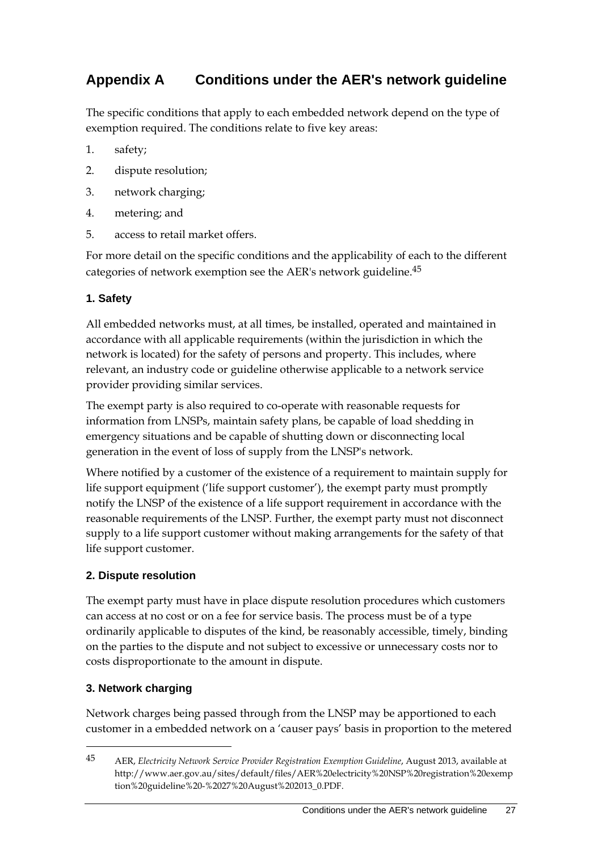# **Appendix A Conditions under the AER's network guideline**

The specific conditions that apply to each embedded network depend on the type of exemption required. The conditions relate to five key areas:

- 1. safety;
- 2. dispute resolution;
- 3. network charging;
- 4. metering; and
- 5. access to retail market offers.

For more detail on the specific conditions and the applicability of each to the different categories of network exemption see the AER's network guideline.45

#### **1. Safety**

All embedded networks must, at all times, be installed, operated and maintained in accordance with all applicable requirements (within the jurisdiction in which the network is located) for the safety of persons and property. This includes, where relevant, an industry code or guideline otherwise applicable to a network service provider providing similar services.

The exempt party is also required to co-operate with reasonable requests for information from LNSPs, maintain safety plans, be capable of load shedding in emergency situations and be capable of shutting down or disconnecting local generation in the event of loss of supply from the LNSP's network.

Where notified by a customer of the existence of a requirement to maintain supply for life support equipment ('life support customer'), the exempt party must promptly notify the LNSP of the existence of a life support requirement in accordance with the reasonable requirements of the LNSP. Further, the exempt party must not disconnect supply to a life support customer without making arrangements for the safety of that life support customer.

#### **2. Dispute resolution**

The exempt party must have in place dispute resolution procedures which customers can access at no cost or on a fee for service basis. The process must be of a type ordinarily applicable to disputes of the kind, be reasonably accessible, timely, binding on the parties to the dispute and not subject to excessive or unnecessary costs nor to costs disproportionate to the amount in dispute.

#### **3. Network charging**

<u>.</u>

Network charges being passed through from the LNSP may be apportioned to each customer in a embedded network on a 'causer pays' basis in proportion to the metered

<sup>45</sup> AER, *Electricity Network Service Provider Registration Exemption Guideline*, August 2013, available at http://www.aer.gov.au/sites/default/files/AER%20electricity%20NSP%20registration%20exemp tion%20guideline%20-%2027%20August%202013\_0.PDF.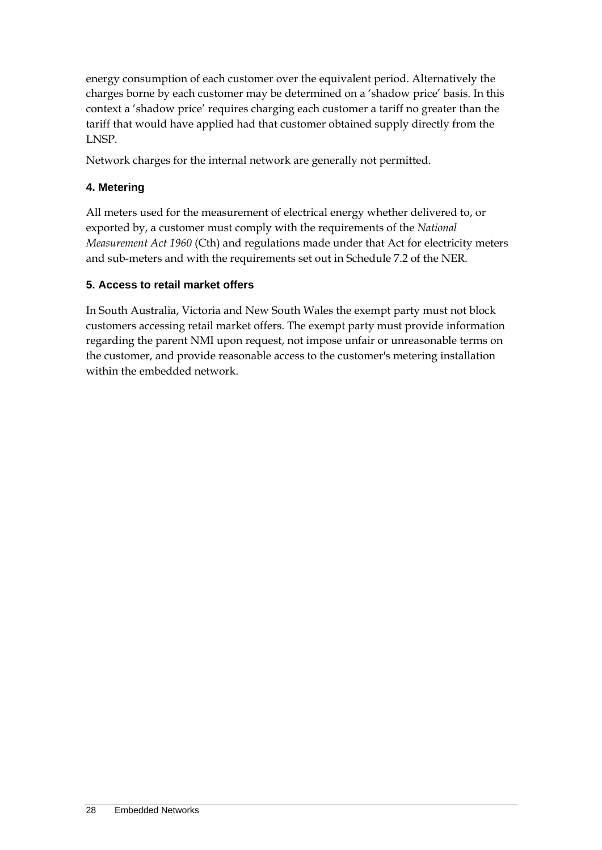energy consumption of each customer over the equivalent period. Alternatively the charges borne by each customer may be determined on a 'shadow price' basis. In this context a 'shadow price' requires charging each customer a tariff no greater than the tariff that would have applied had that customer obtained supply directly from the LNSP.

Network charges for the internal network are generally not permitted.

#### **4. Metering**

All meters used for the measurement of electrical energy whether delivered to, or exported by, a customer must comply with the requirements of the *National Measurement Act 1960* (Cth) and regulations made under that Act for electricity meters and sub-meters and with the requirements set out in Schedule 7.2 of the NER.

#### **5. Access to retail market offers**

In South Australia, Victoria and New South Wales the exempt party must not block customers accessing retail market offers. The exempt party must provide information regarding the parent NMI upon request, not impose unfair or unreasonable terms on the customer, and provide reasonable access to the customer's metering installation within the embedded network.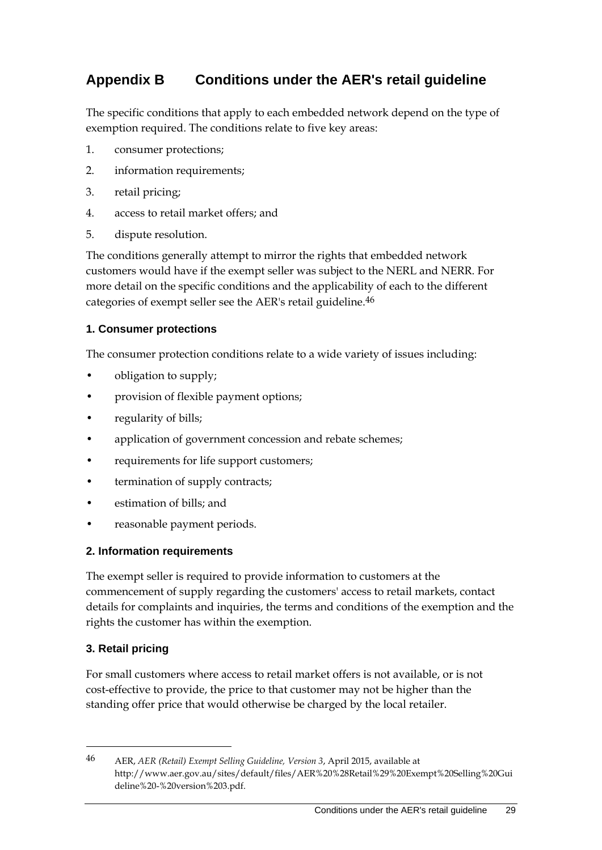# **Appendix B Conditions under the AER's retail guideline**

The specific conditions that apply to each embedded network depend on the type of exemption required. The conditions relate to five key areas:

- 1. consumer protections;
- 2. information requirements;
- 3. retail pricing;
- 4. access to retail market offers; and
- 5. dispute resolution.

The conditions generally attempt to mirror the rights that embedded network customers would have if the exempt seller was subject to the NERL and NERR. For more detail on the specific conditions and the applicability of each to the different categories of exempt seller see the AER's retail guideline.46

#### **1. Consumer protections**

The consumer protection conditions relate to a wide variety of issues including:

- obligation to supply;
- provision of flexible payment options;
- regularity of bills;
- application of government concession and rebate schemes;
- requirements for life support customers;
- termination of supply contracts;
- estimation of bills; and
- reasonable payment periods.

#### **2. Information requirements**

The exempt seller is required to provide information to customers at the commencement of supply regarding the customers' access to retail markets, contact details for complaints and inquiries, the terms and conditions of the exemption and the rights the customer has within the exemption.

#### **3. Retail pricing**

<u>.</u>

For small customers where access to retail market offers is not available, or is not cost-effective to provide, the price to that customer may not be higher than the standing offer price that would otherwise be charged by the local retailer.

<sup>46</sup> AER, *AER (Retail) Exempt Selling Guideline, Version 3*, April 2015, available at http://www.aer.gov.au/sites/default/files/AER%20%28Retail%29%20Exempt%20Selling%20Gui deline%20-%20version%203.pdf.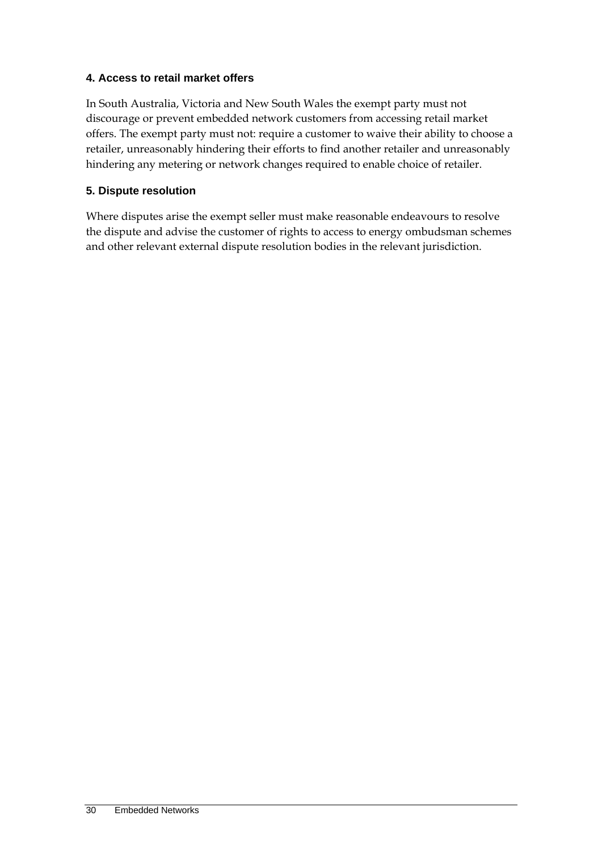#### **4. Access to retail market offers**

In South Australia, Victoria and New South Wales the exempt party must not discourage or prevent embedded network customers from accessing retail market offers. The exempt party must not: require a customer to waive their ability to choose a retailer, unreasonably hindering their efforts to find another retailer and unreasonably hindering any metering or network changes required to enable choice of retailer.

#### **5. Dispute resolution**

Where disputes arise the exempt seller must make reasonable endeavours to resolve the dispute and advise the customer of rights to access to energy ombudsman schemes and other relevant external dispute resolution bodies in the relevant jurisdiction.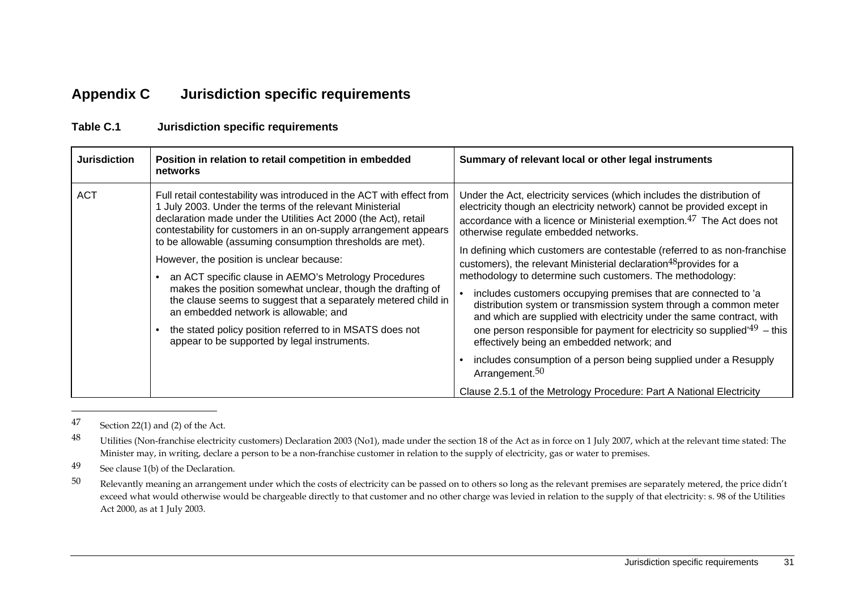# **Appendix C Jurisdiction specific requirements**

| <b>Jurisdiction</b> | Position in relation to retail competition in embedded<br>networks                                                                                                                                                                                                                                                                                                                                                                                                                                                                                                                                                                                                                                                               | Summary of relevant local or other legal instruments                                                                                                                                                                                                                                                                                                                                                                                                                                                                                                                                                                                                                                                                                                                                                                                                                                                                                                                             |
|---------------------|----------------------------------------------------------------------------------------------------------------------------------------------------------------------------------------------------------------------------------------------------------------------------------------------------------------------------------------------------------------------------------------------------------------------------------------------------------------------------------------------------------------------------------------------------------------------------------------------------------------------------------------------------------------------------------------------------------------------------------|----------------------------------------------------------------------------------------------------------------------------------------------------------------------------------------------------------------------------------------------------------------------------------------------------------------------------------------------------------------------------------------------------------------------------------------------------------------------------------------------------------------------------------------------------------------------------------------------------------------------------------------------------------------------------------------------------------------------------------------------------------------------------------------------------------------------------------------------------------------------------------------------------------------------------------------------------------------------------------|
| <b>ACT</b>          | Full retail contestability was introduced in the ACT with effect from<br>July 2003. Under the terms of the relevant Ministerial<br>declaration made under the Utilities Act 2000 (the Act), retail<br>contestability for customers in an on-supply arrangement appears<br>to be allowable (assuming consumption thresholds are met).<br>However, the position is unclear because:<br>an ACT specific clause in AEMO's Metrology Procedures<br>makes the position somewhat unclear, though the drafting of<br>the clause seems to suggest that a separately metered child in<br>an embedded network is allowable; and<br>the stated policy position referred to in MSATS does not<br>appear to be supported by legal instruments. | Under the Act, electricity services (which includes the distribution of<br>electricity though an electricity network) cannot be provided except in<br>accordance with a licence or Ministerial exemption. <sup>47</sup> The Act does not<br>otherwise regulate embedded networks.<br>In defining which customers are contestable (referred to as non-franchise<br>customers), the relevant Ministerial declaration <sup>48</sup> provides for a<br>methodology to determine such customers. The methodology:<br>includes customers occupying premises that are connected to 'a<br>distribution system or transmission system through a common meter<br>and which are supplied with electricity under the same contract, with<br>one person responsible for payment for electricity so supplied <sup><math>49</math></sup> – this<br>effectively being an embedded network; and<br>includes consumption of a person being supplied under a Resupply<br>Arrangement. <sup>50</sup> |
|                     |                                                                                                                                                                                                                                                                                                                                                                                                                                                                                                                                                                                                                                                                                                                                  | Clause 2.5.1 of the Metrology Procedure: Part A National Electricity                                                                                                                                                                                                                                                                                                                                                                                                                                                                                                                                                                                                                                                                                                                                                                                                                                                                                                             |

#### **Table C.1 Jurisdiction specific requirements**

47 Section 22(1) and (2) of the Act.

<sup>48</sup> Utilities (Non-franchise electricity customers) Declaration 2003 (No1), made under the section 18 of the Act as in force on 1 July 2007, which at the relevant time stated: The Minister may, in writing, declare a person to be a non-franchise customer in relation to the supply of electricity, gas or water to premises.

49 See clause 1(b) of the Declaration.

 $50$  Relevantly meaning an arrangement under which the costs of electricity can be passed on to others so long as the relevant premises are separately metered, the price didn't exceed what would otherwise would be chargeable directly to that customer and no other charge was levied in relation to the supply of that electricity: s. 98 of the Utilities Act 2000, as at 1 July 2003.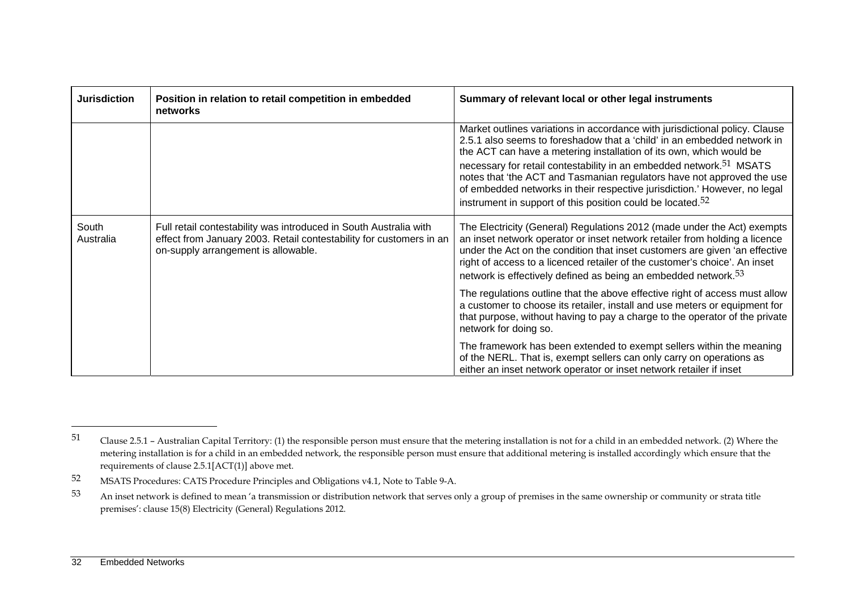| <b>Jurisdiction</b> | Position in relation to retail competition in embedded<br>networks                                                                                                              | Summary of relevant local or other legal instruments                                                                                                                                                                                                                                                                                                                                                                                                                                                                                              |
|---------------------|---------------------------------------------------------------------------------------------------------------------------------------------------------------------------------|---------------------------------------------------------------------------------------------------------------------------------------------------------------------------------------------------------------------------------------------------------------------------------------------------------------------------------------------------------------------------------------------------------------------------------------------------------------------------------------------------------------------------------------------------|
|                     |                                                                                                                                                                                 | Market outlines variations in accordance with jurisdictional policy. Clause<br>2.5.1 also seems to foreshadow that a 'child' in an embedded network in<br>the ACT can have a metering installation of its own, which would be<br>necessary for retail contestability in an embedded network. <sup>51</sup> MSATS<br>notes that 'the ACT and Tasmanian regulators have not approved the use<br>of embedded networks in their respective jurisdiction.' However, no legal<br>instrument in support of this position could be located. <sup>52</sup> |
| South<br>Australia  | Full retail contestability was introduced in South Australia with<br>effect from January 2003. Retail contestability for customers in an<br>on-supply arrangement is allowable. | The Electricity (General) Regulations 2012 (made under the Act) exempts<br>an inset network operator or inset network retailer from holding a licence<br>under the Act on the condition that inset customers are given 'an effective<br>right of access to a licenced retailer of the customer's choice'. An inset<br>network is effectively defined as being an embedded network. $53$                                                                                                                                                           |
|                     |                                                                                                                                                                                 | The regulations outline that the above effective right of access must allow<br>a customer to choose its retailer, install and use meters or equipment for<br>that purpose, without having to pay a charge to the operator of the private<br>network for doing so.                                                                                                                                                                                                                                                                                 |
|                     |                                                                                                                                                                                 | The framework has been extended to exempt sellers within the meaning<br>of the NERL. That is, exempt sellers can only carry on operations as<br>either an inset network operator or inset network retailer if inset                                                                                                                                                                                                                                                                                                                               |

<sup>51</sup> Clause 2.5.1 – Australian Capital Territory: (1) the responsible person must ensure that the metering installation is not for a child in an embedded network. (2) Where the metering installation is for a child in an embedded network, the responsible person must ensure that additional metering is installed accordingly which ensure that the requirements of clause 2.5.1[ACT(1)] above met.

<sup>52</sup> MSATS Procedures: CATS Procedure Principles and Obligations v4.1, Note to Table 9-A.

<sup>53</sup> An inset network is defined to mean 'a transmission or distribution network that serves only a group of premises in the same ownership or community or strata title premises': clause 15(8) Electricity (General) Regulations 2012.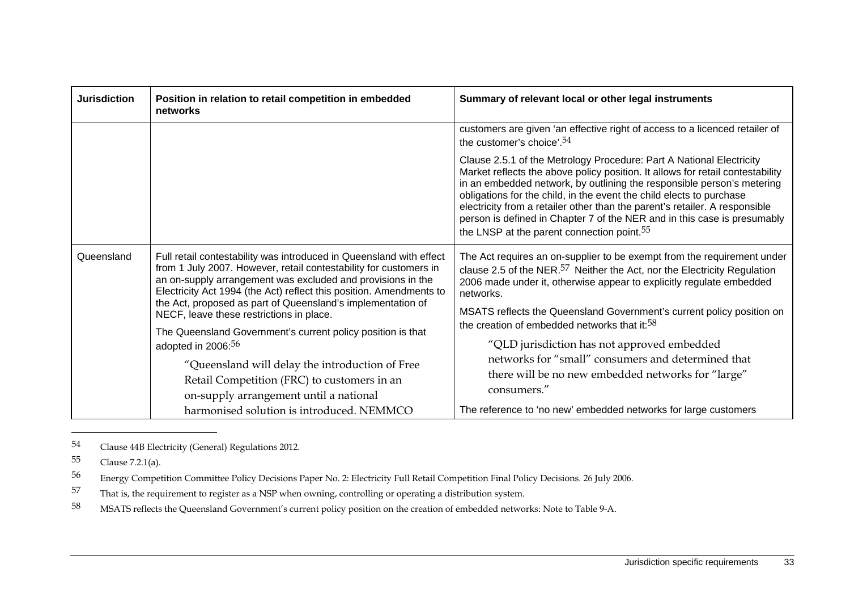| <b>Jurisdiction</b>                                                                                                                                                                                                                       | Position in relation to retail competition in embedded<br>networks                                                                                                                                                                                                                                                                                                                        | Summary of relevant local or other legal instruments                                                                                                                                                                                                                                                                                                                                                                                                                                                                          |
|-------------------------------------------------------------------------------------------------------------------------------------------------------------------------------------------------------------------------------------------|-------------------------------------------------------------------------------------------------------------------------------------------------------------------------------------------------------------------------------------------------------------------------------------------------------------------------------------------------------------------------------------------|-------------------------------------------------------------------------------------------------------------------------------------------------------------------------------------------------------------------------------------------------------------------------------------------------------------------------------------------------------------------------------------------------------------------------------------------------------------------------------------------------------------------------------|
|                                                                                                                                                                                                                                           |                                                                                                                                                                                                                                                                                                                                                                                           | customers are given 'an effective right of access to a licenced retailer of<br>the customer's choice'. <sup>54</sup>                                                                                                                                                                                                                                                                                                                                                                                                          |
|                                                                                                                                                                                                                                           |                                                                                                                                                                                                                                                                                                                                                                                           | Clause 2.5.1 of the Metrology Procedure: Part A National Electricity<br>Market reflects the above policy position. It allows for retail contestability<br>in an embedded network, by outlining the responsible person's metering<br>obligations for the child, in the event the child elects to purchase<br>electricity from a retailer other than the parent's retailer. A responsible<br>person is defined in Chapter 7 of the NER and in this case is presumably<br>the LNSP at the parent connection point. <sup>55</sup> |
| Queensland                                                                                                                                                                                                                                | Full retail contestability was introduced in Queensland with effect<br>from 1 July 2007. However, retail contestability for customers in<br>an on-supply arrangement was excluded and provisions in the<br>Electricity Act 1994 (the Act) reflect this position. Amendments to<br>the Act, proposed as part of Queensland's implementation of<br>NECF, leave these restrictions in place. | The Act requires an on-supplier to be exempt from the requirement under<br>clause 2.5 of the NER. $57$ Neither the Act, nor the Electricity Regulation<br>2006 made under it, otherwise appear to explicitly regulate embedded<br>networks.                                                                                                                                                                                                                                                                                   |
|                                                                                                                                                                                                                                           |                                                                                                                                                                                                                                                                                                                                                                                           | MSATS reflects the Queensland Government's current policy position on<br>the creation of embedded networks that it: <sup>58</sup>                                                                                                                                                                                                                                                                                                                                                                                             |
| The Queensland Government's current policy position is that<br>adopted in 2006: <sup>56</sup><br>"Queensland will delay the introduction of Free<br>Retail Competition (FRC) to customers in an<br>on-supply arrangement until a national | "QLD jurisdiction has not approved embedded                                                                                                                                                                                                                                                                                                                                               |                                                                                                                                                                                                                                                                                                                                                                                                                                                                                                                               |
|                                                                                                                                                                                                                                           |                                                                                                                                                                                                                                                                                                                                                                                           | networks for "small" consumers and determined that<br>there will be no new embedded networks for "large"<br>consumers."                                                                                                                                                                                                                                                                                                                                                                                                       |
|                                                                                                                                                                                                                                           | harmonised solution is introduced. NEMMCO                                                                                                                                                                                                                                                                                                                                                 | The reference to 'no new' embedded networks for large customers                                                                                                                                                                                                                                                                                                                                                                                                                                                               |

<sup>54</sup> Clause 44B Electricity (General) Regulations 2012.

<sup>55</sup> Clause 7.2.1(a).

<sup>56</sup> Energy Competition Committee Policy Decisions Paper No. 2: Electricity Full Retail Competition Final Policy Decisions. 26 July 2006.

<sup>57</sup> That is, the requirement to register as a NSP when owning, controlling or operating a distribution system.

<sup>58</sup> MSATS reflects the Queensland Government's current policy position on the creation of embedded networks: Note to Table 9-A.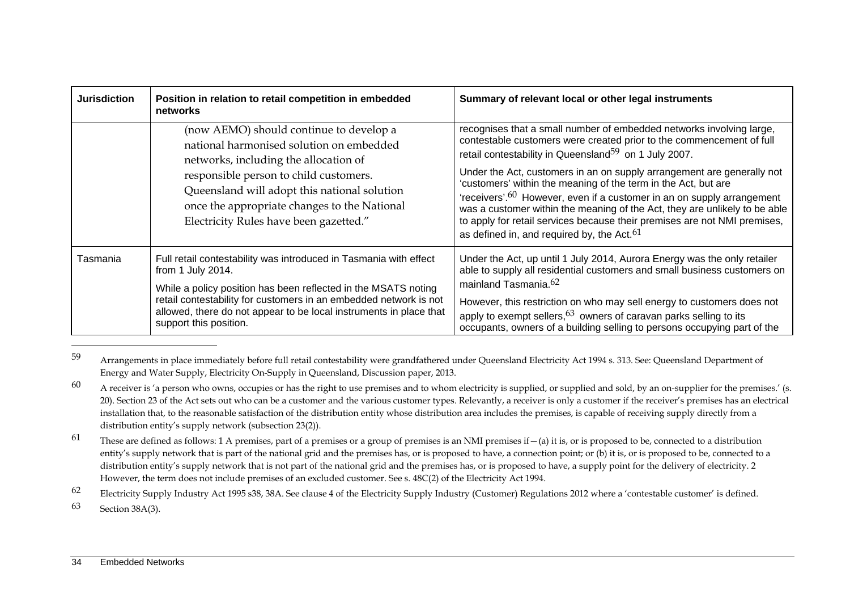| <b>Jurisdiction</b> | Position in relation to retail competition in embedded<br>networks                                                                                                                                                                                                                                                            | Summary of relevant local or other legal instruments                                                                                                                                                                                                                                                                                                                                                                                                                                                                                                                                                                                                            |
|---------------------|-------------------------------------------------------------------------------------------------------------------------------------------------------------------------------------------------------------------------------------------------------------------------------------------------------------------------------|-----------------------------------------------------------------------------------------------------------------------------------------------------------------------------------------------------------------------------------------------------------------------------------------------------------------------------------------------------------------------------------------------------------------------------------------------------------------------------------------------------------------------------------------------------------------------------------------------------------------------------------------------------------------|
|                     | (now AEMO) should continue to develop a<br>national harmonised solution on embedded<br>networks, including the allocation of<br>responsible person to child customers.<br>Queensland will adopt this national solution<br>once the appropriate changes to the National<br>Electricity Rules have been gazetted."              | recognises that a small number of embedded networks involving large,<br>contestable customers were created prior to the commencement of full<br>retail contestability in Queensland <sup>59</sup> on 1 July 2007.<br>Under the Act, customers in an on supply arrangement are generally not<br>'customers' within the meaning of the term in the Act, but are<br>'receivers'. $60$ However, even if a customer in an on supply arrangement<br>was a customer within the meaning of the Act, they are unlikely to be able<br>to apply for retail services because their premises are not NMI premises,<br>as defined in, and required by, the Act. <sup>61</sup> |
| Tasmania            | Full retail contestability was introduced in Tasmania with effect<br>from 1 July 2014.<br>While a policy position has been reflected in the MSATS noting<br>retail contestability for customers in an embedded network is not<br>allowed, there do not appear to be local instruments in place that<br>support this position. | Under the Act, up until 1 July 2014, Aurora Energy was the only retailer<br>able to supply all residential customers and small business customers on<br>mainland Tasmania. <sup>62</sup><br>However, this restriction on who may sell energy to customers does not<br>apply to exempt sellers, $63$ owners of caravan parks selling to its<br>occupants, owners of a building selling to persons occupying part of the                                                                                                                                                                                                                                          |

<sup>59</sup> Arrangements in place immediately before full retail contestability were grandfathered under Queensland Electricity Act 1994 s. 313. See: Queensland Department of Energy and Water Supply, Electricity On-Supply in Queensland, Discussion paper, 2013.

62 Electricity Supply Industry Act 1995 s38, 38A. See clause 4 of the Electricity Supply Industry (Customer) Regulations 2012 where a 'contestable customer' is defined.

63 Section 38A(3).

 $60$  A receiver is 'a person who owns, occupies or has the right to use premises and to whom electricity is supplied, or supplied and sold, by an on-supplier for the premises.' (s. 20). Section 23 of the Act sets out who can be a customer and the various customer types. Relevantly, a receiver is only a customer if the receiver's premises has an electrical installation that, to the reasonable satisfaction of the distribution entity whose distribution area includes the premises, is capable of receiving supply directly from a distribution entity's supply network (subsection 23(2)).

<sup>61</sup> These are defined as follows: 1 A premises, part of a premises or a group of premises is an NMI premises if  $-(a)$  it is, or is proposed to be, connected to a distribution entity's supply network that is part of the national grid and the premises has, or is proposed to have, a connection point; or (b) it is, or is proposed to be, connected to a distribution entity's supply network that is not part of the national grid and the premises has, or is proposed to have, a supply point for the delivery of electricity. 2 However, the term does not include premises of an excluded customer. See s. 48C(2) of the Electricity Act 1994.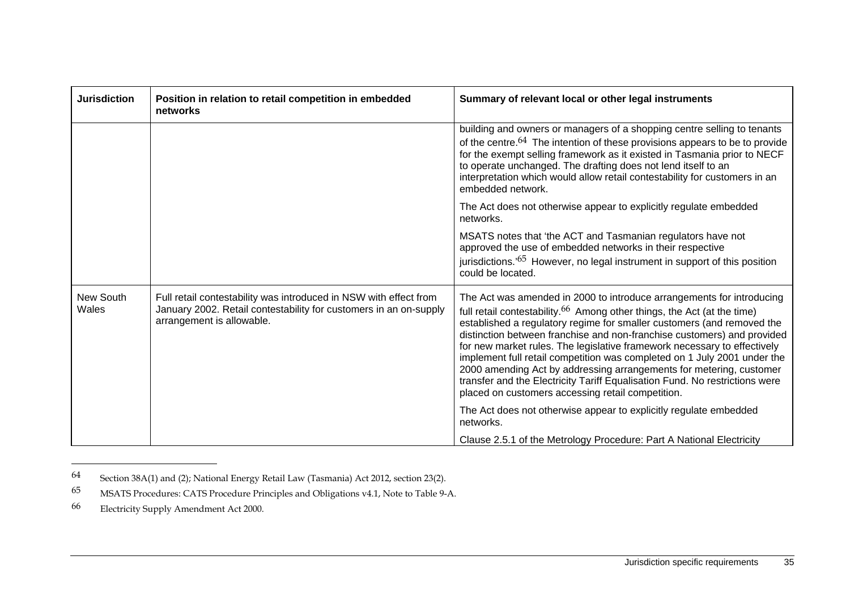| <b>Jurisdiction</b> | Position in relation to retail competition in embedded<br>networks                                                                                                  | Summary of relevant local or other legal instruments                                                                                                                                                                                                                                                                                                                                                                                                                                                                                                                                                                                                                                 |
|---------------------|---------------------------------------------------------------------------------------------------------------------------------------------------------------------|--------------------------------------------------------------------------------------------------------------------------------------------------------------------------------------------------------------------------------------------------------------------------------------------------------------------------------------------------------------------------------------------------------------------------------------------------------------------------------------------------------------------------------------------------------------------------------------------------------------------------------------------------------------------------------------|
|                     |                                                                                                                                                                     | building and owners or managers of a shopping centre selling to tenants<br>of the centre. <sup>64</sup> The intention of these provisions appears to be to provide<br>for the exempt selling framework as it existed in Tasmania prior to NECF<br>to operate unchanged. The drafting does not lend itself to an<br>interpretation which would allow retail contestability for customers in an<br>embedded network.                                                                                                                                                                                                                                                                   |
|                     |                                                                                                                                                                     | The Act does not otherwise appear to explicitly regulate embedded<br>networks.                                                                                                                                                                                                                                                                                                                                                                                                                                                                                                                                                                                                       |
|                     |                                                                                                                                                                     | MSATS notes that 'the ACT and Tasmanian regulators have not<br>approved the use of embedded networks in their respective<br>jurisdictions. <sup>'65</sup> However, no legal instrument in support of this position<br>could be located.                                                                                                                                                                                                                                                                                                                                                                                                                                              |
| New South<br>Wales  | Full retail contestability was introduced in NSW with effect from<br>January 2002. Retail contestability for customers in an on-supply<br>arrangement is allowable. | The Act was amended in 2000 to introduce arrangements for introducing<br>full retail contestability. <sup>66</sup> Among other things, the Act (at the time)<br>established a regulatory regime for smaller customers (and removed the<br>distinction between franchise and non-franchise customers) and provided<br>for new market rules. The legislative framework necessary to effectively<br>implement full retail competition was completed on 1 July 2001 under the<br>2000 amending Act by addressing arrangements for metering, customer<br>transfer and the Electricity Tariff Equalisation Fund. No restrictions were<br>placed on customers accessing retail competition. |
|                     |                                                                                                                                                                     | The Act does not otherwise appear to explicitly regulate embedded<br>networks.                                                                                                                                                                                                                                                                                                                                                                                                                                                                                                                                                                                                       |
|                     |                                                                                                                                                                     | Clause 2.5.1 of the Metrology Procedure: Part A National Electricity                                                                                                                                                                                                                                                                                                                                                                                                                                                                                                                                                                                                                 |

<sup>64</sup> Section 38A(1) and (2); National Energy Retail Law (Tasmania) Act 2012, section 23(2).

<sup>65</sup> MSATS Procedures: CATS Procedure Principles and Obligations v4.1, Note to Table 9-A.

<sup>66</sup> Electricity Supply Amendment Act 2000.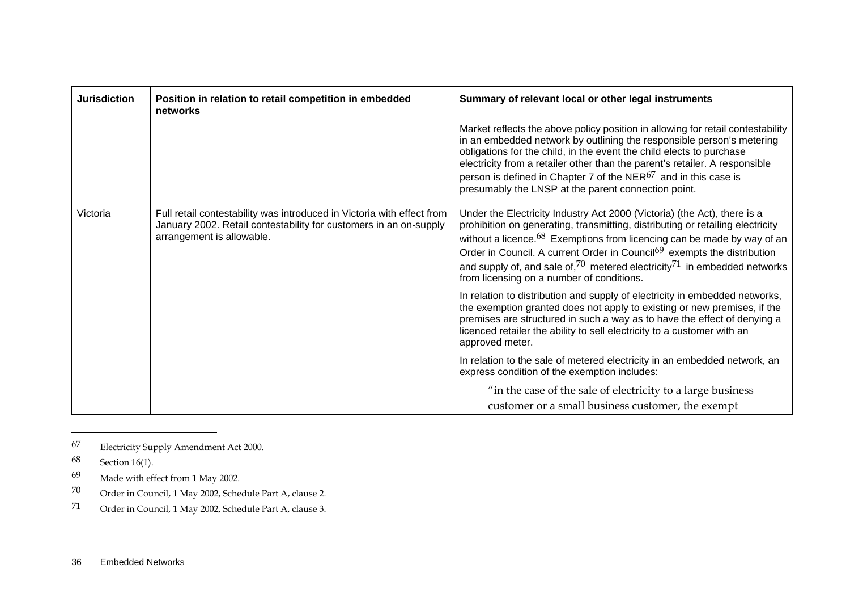| <b>Jurisdiction</b> | Position in relation to retail competition in embedded<br>networks                                                                                                       | Summary of relevant local or other legal instruments                                                                                                                                                                                                                                                                                                                                                                                                           |
|---------------------|--------------------------------------------------------------------------------------------------------------------------------------------------------------------------|----------------------------------------------------------------------------------------------------------------------------------------------------------------------------------------------------------------------------------------------------------------------------------------------------------------------------------------------------------------------------------------------------------------------------------------------------------------|
|                     |                                                                                                                                                                          | Market reflects the above policy position in allowing for retail contestability<br>in an embedded network by outlining the responsible person's metering<br>obligations for the child, in the event the child elects to purchase<br>electricity from a retailer other than the parent's retailer. A responsible<br>person is defined in Chapter 7 of the $NER^{67}$ and in this case is<br>presumably the LNSP at the parent connection point.                 |
| Victoria            | Full retail contestability was introduced in Victoria with effect from<br>January 2002. Retail contestability for customers in an on-supply<br>arrangement is allowable. | Under the Electricity Industry Act 2000 (Victoria) (the Act), there is a<br>prohibition on generating, transmitting, distributing or retailing electricity<br>without a licence. $68$ Exemptions from licencing can be made by way of an<br>Order in Council. A current Order in Council <sup>69</sup> exempts the distribution<br>and supply of, and sale of, $70$ metered electricity $71$ in embedded networks<br>from licensing on a number of conditions. |
|                     |                                                                                                                                                                          | In relation to distribution and supply of electricity in embedded networks,<br>the exemption granted does not apply to existing or new premises, if the<br>premises are structured in such a way as to have the effect of denying a<br>licenced retailer the ability to sell electricity to a customer with an<br>approved meter.                                                                                                                              |
|                     |                                                                                                                                                                          | In relation to the sale of metered electricity in an embedded network, an<br>express condition of the exemption includes:                                                                                                                                                                                                                                                                                                                                      |
|                     |                                                                                                                                                                          | "in the case of the sale of electricity to a large business<br>customer or a small business customer, the exempt                                                                                                                                                                                                                                                                                                                                               |

<sup>67</sup> Electricity Supply Amendment Act 2000.

<sup>68</sup> Section 16(1).

<sup>69</sup> Made with effect from 1 May 2002.

<sup>70</sup> Order in Council, 1 May 2002, Schedule Part A, clause 2.

<sup>71</sup> Order in Council, 1 May 2002, Schedule Part A, clause 3.